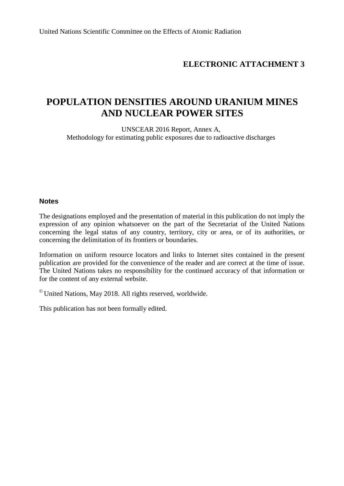# **ELECTRONIC ATTACHMENT 3**

# **POPULATION DENSITIES AROUND URANIUM MINES AND NUCLEAR POWER SITES**

UNSCEAR 2016 Report, Annex A, Methodology for estimating public exposures due to radioactive discharges

#### **Notes**

The designations employed and the presentation of material in this publication do not imply the expression of any opinion whatsoever on the part of the Secretariat of the United Nations concerning the legal status of any country, territory, city or area, or of its authorities, or concerning the delimitation of its frontiers or boundaries.

Information on uniform resource locators and links to Internet sites contained in the present publication are provided for the convenience of the reader and are correct at the time of issue. The United Nations takes no responsibility for the continued accuracy of that information or for the content of any external website.

 $\degree$  United Nations, May 2018. All rights reserved, worldwide.

This publication has not been formally edited.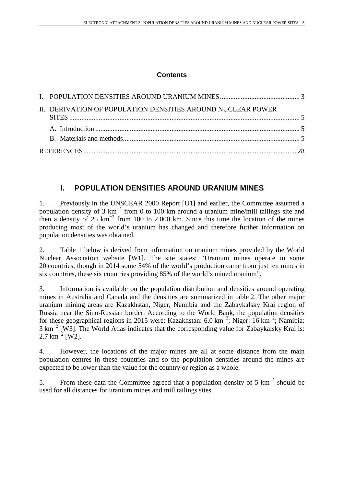# **Contents**

| II. DERIVATION OF POPULATION DENSITIES AROUND NUCLEAR POWER |  |
|-------------------------------------------------------------|--|
|                                                             |  |
|                                                             |  |
|                                                             |  |

# <span id="page-2-0"></span>**I. POPULATION DENSITIES AROUND URANIUM MINES**

1. Previously in the UNSCEAR 2000 Report [U1] and earlier, the Committee assumed a population density of 3 km<sup>-2</sup> from 0 to 100 km around a uranium mine/mill tailings site and then a density of 25 km<sup>-2</sup> from 100 to 2,000 km. Since this time the location of the mines producing most of the world's uranium has changed and therefore further information on population densities was obtained.

2. Table 1 below is derived from information on uranium mines provided by the World Nuclear Association website [W1]. The site states: "Uranium mines operate in some 20 countries, though in 2014 some 54% of the world's production came from just ten mines in six countries, these six countries providing 85% of the world's mined uranium".

3. Information is available on the population distribution and densities around operating mines in Australia and Canada and the densities are summarized in table 2. The other major uranium mining areas are Kazakhstan, Niger, Namibia and the Zabaykalsky Krai region of Russia near the Sino-Russian border. According to the World Bank, the population densities for these geographical regions in 2015 were: Kazakhstan:  $6.0 \text{ km}^{-2}$ ; Niger: 16 km<sup>-2</sup>; Namibia: 3 km−2 [W3]. The World Atlas indicates that the corresponding value for Zabaykalsky Krai is:  $2.7 \text{ km}^{-2}$  [W2].

4. However, the locations of the major mines are all at some distance from the main population centres in these countries and so the population densities around the mines are expected to be lower than the value for the country or region as a whole.

5. From these data the Committee agreed that a population density of 5 km−2 should be used for all distances for uranium mines and mill tailings sites.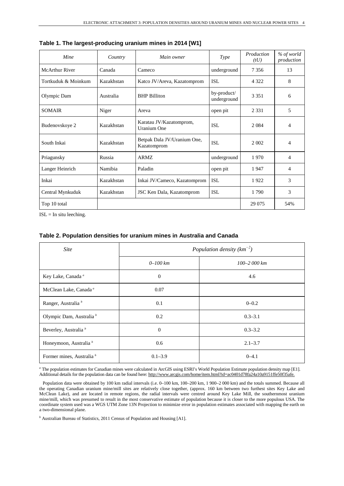| Mine                  | Country    | Main owner                                 | <b>Type</b>                | Production<br>(tU) | % of world<br>production |
|-----------------------|------------|--------------------------------------------|----------------------------|--------------------|--------------------------|
| <b>McArthur River</b> | Canada     | Cameco                                     | underground                | 7 3 5 6            | 13                       |
| Tortkuduk & Moinkum   | Kazakhstan | Katco JV/Areva, Kazatomprom                | <b>ISL</b>                 | 4 3 2 2            | 8                        |
| Olympic Dam           | Australia  | <b>BHP Billiton</b>                        | by-product/<br>underground | 3 3 5 1            | 6                        |
| <b>SOMAIR</b>         | Niger      | Areva                                      | open pit                   | 2 3 3 1            | 5                        |
| Budenovskoye 2        | Kazakhstan | Karatau JV/Kazatomprom,<br>Uranium One     | <b>ISL</b>                 | 2 0 8 4            | 4                        |
| South Inkai           | Kazakhstan | Betpak Dala JV/Uranium One,<br>Kazatomprom | <b>ISL</b>                 | 2 0 0 2            | 4                        |
| Priagunsky            | Russia     | <b>ARMZ</b>                                | underground                | 1970               | 4                        |
| Langer Heinrich       | Namibia    | Paladin                                    | open pit                   | 1947               | 4                        |
| Inkai                 | Kazakhstan | Inkai JV/Cameco, Kazatomprom               | <b>ISL</b>                 | 1922               | 3                        |
| Central Mynkuduk      | Kazakhstan | JSC Ken Dala, Kazatomprom                  | <b>ISL</b>                 | 1790               | 3                        |
| Top 10 total          |            |                                            |                            | 29 0 75            | 54%                      |

**Table 1. The largest-producing uranium mines in 2014 [W1]**

 $ISL = In$  situ leeching.

#### **Table 2. Population densities for uranium mines in Australia and Canada**

| <b>Site</b>                          | Population density $(km^{-2})$ |                 |  |  |  |  |
|--------------------------------------|--------------------------------|-----------------|--|--|--|--|
|                                      | $0 - 100$ km                   | $100 - 2000$ km |  |  |  |  |
| Key Lake, Canada <sup>a</sup>        | $\theta$                       | 4.6             |  |  |  |  |
| McClean Lake, Canada <sup>a</sup>    | 0.07                           |                 |  |  |  |  |
| Ranger, Australia <sup>b</sup>       | 0.1                            | $0 - 0.2$       |  |  |  |  |
| Olympic Dam, Australia <sup>b</sup>  | 0.2                            | $0.3 - 3.1$     |  |  |  |  |
| Beverley, Australia <sup>b</sup>     | $\theta$                       | $0.3 - 3.2$     |  |  |  |  |
| Honeymoon, Australia <sup>b</sup>    | 0.6                            | $2.1 - 3.7$     |  |  |  |  |
| Former mines, Australia <sup>b</sup> | $0.1 - 3.9$                    | $0 - 4.1$       |  |  |  |  |

*a* The population estimates for Canadian mines were calculated in ArcGIS using ESRI's World Population Estimate population density map [E1]. Additional details for the population data can be found here[: http://www.arcgis.com/home/item.html?id=ac0401d78fa24a10a9151ffe50f35afe.](http://www.arcgis.com/home/item.html?id=ac0401d78fa24a10a9151ffe50f35afe)

Population data were obtained by 100 km radial intervals (i.e. 0–100 km, 100–200 km, 1 900–2 000 km) and the totals summed. Because all the operating Canadian uranium mine/mill sites are relatively close together, (approx. 160 km between two furthest sites Key Lake and McClean Lake), and are located in remote regions, the radial intervals were centred around Key Lake Mill, the southernmost uranium mine/mill, which was presumed to result in the most conservative estimate of population because it is closer to the more populous USA. The coordinate system used was a WGS UTM Zone 13N Projection to minimize error in population estimates associated with mapping the earth on a two-dimensional plane.

*b* Australian Bureau of Statistics, 2011 Census of Population and Housing [A1].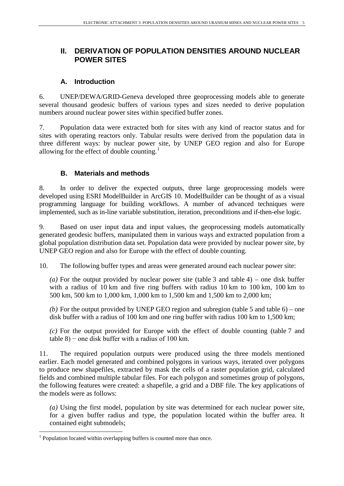# <span id="page-4-0"></span>**II. DERIVATION OF POPULATION DENSITIES AROUND NUCLEAR POWER SITES**

### **A. Introduction**

<span id="page-4-1"></span>6. UNEP/DEWA/GRID-Geneva developed three geoprocessing models able to generate several thousand geodesic buffers of various types and sizes needed to derive population numbers around nuclear power sites within specified buffer zones.

7. Population data were extracted both for sites with any kind of reactor status and for sites with operating reactors only. Tabular results were derived from the population data in three different ways: by nuclear power site, by UNEP GEO region and also for Europe allowing for the effect of double counting.<sup>[1](#page-4-3)</sup>

## <span id="page-4-2"></span>**B. Materials and methods**

8. In order to deliver the expected outputs, three large geoprocessing models were developed using ESRI ModelBuilder in ArcGIS 10. ModelBuilder can be thought of as a visual programming language for building workflows. A number of advanced techniques were implemented, such as in-line variable substitution, iteration, preconditions and if-then-else logic.

9. Based on user input data and input values, the geoprocessing models automatically generated geodesic buffers, manipulated them in various ways and extracted population from a global population distribution data set. Population data were provided by nuclear power site, by UNEP GEO region and also for Europe with the effect of double counting.

10. The following buffer types and areas were generated around each nuclear power site:

*(a)* For the output provided by nuclear power site (table 3 and table 4) – one disk buffer with a radius of 10 km and five ring buffers with radius 10 km to 100 km, 100 km to 500 km, 500 km to 1,000 km, 1,000 km to 1,500 km and 1,500 km to 2,000 km;

*(b)* For the output provided by UNEP GEO region and subregion (table 5 and table 6) – one disk buffer with a radius of 100 km and one ring buffer with radius 100 km to 1,500 km;

*(c)* For the output provided for Europe with the effect of double counting (table 7 and  $table 8$ ) – one disk buffer with a radius of 100 km.

11. The required population outputs were produced using the three models mentioned earlier. Each model generated and combined polygons in various ways, iterated over polygons to produce new shapefiles, extracted by mask the cells of a raster population grid, calculated fields and combined multiple tabular files. For each polygon and sometimes group of polygons, the following features were created: a shapefile, a grid and a DBF file. The key applications of the models were as follows:

*(a)* Using the first model, population by site was determined for each nuclear power site, for a given buffer radius and type, the population located within the buffer area. It contained eight submodels;

<span id="page-4-3"></span><sup>&</sup>lt;sup>1</sup> Population located within overlapping buffers is counted more than once.  $\overline{a}$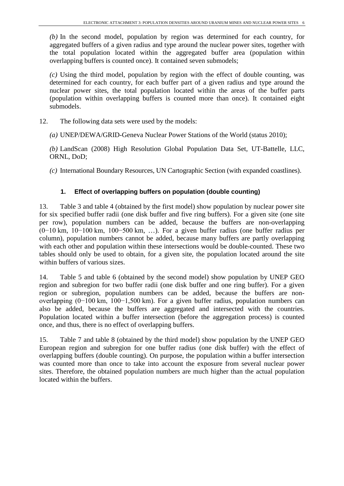*(b)* In the second model, population by region was determined for each country, for aggregated buffers of a given radius and type around the nuclear power sites, together with the total population located within the aggregated buffer area (population within overlapping buffers is counted once). It contained seven submodels;

*(c)* Using the third model, population by region with the effect of double counting, was determined for each country, for each buffer part of a given radius and type around the nuclear power sites, the total population located within the areas of the buffer parts (population within overlapping buffers is counted more than once). It contained eight submodels.

- 12. The following data sets were used by the models:
	- *(a)* UNEP/DEWA/GRID-Geneva Nuclear Power Stations of the World (status 2010);

*(b)* LandScan (2008) High Resolution Global Population Data Set, UT-Battelle, LLC, ORNL, DoD;

*(c)* International Boundary Resources, UN Cartographic Section (with expanded coastlines).

#### **1. Effect of overlapping buffers on population (double counting)**

13. Table 3 and table 4 (obtained by the first model) show population by nuclear power site for six specified buffer radii (one disk buffer and five ring buffers). For a given site (one site per row), population numbers can be added, because the buffers are non-overlapping (0−10 km, 10−100 km, 100−500 km, …). For a given buffer radius (one buffer radius per column), population numbers cannot be added, because many buffers are partly overlapping with each other and population within these intersections would be double-counted. These two tables should only be used to obtain, for a given site, the population located around the site within buffers of various sizes.

14. Table 5 and table 6 (obtained by the second model) show population by UNEP GEO region and subregion for two buffer radii (one disk buffer and one ring buffer). For a given region or subregion, population numbers can be added, because the buffers are nonoverlapping (0−100 km, 100−1,500 km). For a given buffer radius, population numbers can also be added, because the buffers are aggregated and intersected with the countries. Population located within a buffer intersection (before the aggregation process) is counted once, and thus, there is no effect of overlapping buffers.

15. Table 7 and table 8 (obtained by the third model) show population by the UNEP GEO European region and subregion for one buffer radius (one disk buffer) with the effect of overlapping buffers (double counting). On purpose, the population within a buffer intersection was counted more than once to take into account the exposure from several nuclear power sites. Therefore, the obtained population numbers are much higher than the actual population located within the buffers.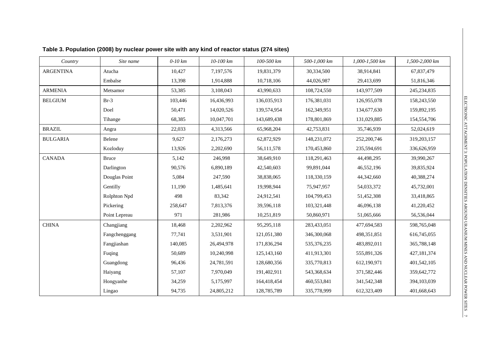| Country          | Site name     | $0-10$ km | $10-100$ km | 100-500 km  | 500-1,000 km | 1,000-1,500 km | 1,500-2,000 km |
|------------------|---------------|-----------|-------------|-------------|--------------|----------------|----------------|
| <b>ARGENTINA</b> | Atucha        | 10,427    | 7,197,576   | 19,831,379  | 30,334,500   | 38,914,841     | 67,837,479     |
|                  | Embalse       | 13,398    | 1,914,888   | 10,718,106  | 44,026,987   | 29,413,699     | 51,816,346     |
| <b>ARMENIA</b>   | Metsamor      | 53,385    | 3,108,043   | 43,990,633  | 108,724,550  | 143,977,509    | 245, 234, 835  |
| <b>BELGIUM</b>   | $Br-3$        | 103,446   | 16,436,993  | 136,035,913 | 176,381,031  | 126,955,078    | 158,243,550    |
|                  | Doel          | 50,471    | 14,020,526  | 139,574,954 | 162,349,951  | 134,677,630    | 159,892,195    |
|                  | Tihange       | 68,385    | 10,047,701  | 143,689,438 | 178,801,869  | 131,029,885    | 154,554,706    |
| <b>BRAZIL</b>    | Angra         | 22,033    | 4,313,566   | 65,968,204  | 42,753,831   | 35,746,939     | 52,024,619     |
| <b>BULGARIA</b>  | Belene        | 9,627     | 2,176,273   | 62,872,929  | 148,231,072  | 252,200,746    | 319,203,157    |
|                  | Kozloduy      | 13,926    | 2,202,690   | 56,111,578  | 170,453,860  | 235,594,691    | 336,626,959    |
| <b>CANADA</b>    | <b>Bruce</b>  | 5,142     | 246,998     | 38,649,910  | 118,291,463  | 44,498,295     | 39,990,267     |
|                  | Darlington    | 90,576    | 6,890,189   | 42,540,603  | 99,891,044   | 46,552,196     | 39,835,924     |
|                  | Douglas Point | 5,084     | 247,590     | 38,838,065  | 118,330,159  | 44,342,660     | 40,388,274     |
|                  | Gentilly      | 11,190    | 1,485,641   | 19,998,944  | 75,947,957   | 54,033,372     | 45,732,001     |
|                  | Rolphton Npd  | 498       | 83,342      | 24,912,541  | 104,799,453  | 51,452,308     | 33,418,865     |
|                  | Pickering     | 258,647   | 7,813,376   | 39,596,118  | 103,321,448  | 46,096,138     | 41,220,452     |
|                  | Point Lepreau | 971       | 281,986     | 10,251,819  | 50,860,971   | 51,065,666     | 56,536,044     |
| <b>CHINA</b>     | Changjiang    | 18,468    | 2,202,962   | 95,295,118  | 283,433,051  | 477,694,583    | 598,765,048    |
|                  | Fangchenggang | 77,741    | 3,531,901   | 121,051,380 | 346,300,068  | 498,351,851    | 616,745,055    |
|                  | Fangjiashan   | 140,085   | 26,494,978  | 171,836,294 | 535,376,235  | 483,892,011    | 365,788,148    |
|                  | Fuqing        | 50,689    | 10,240,998  | 125,143,160 | 411,913,301  | 555,891,326    | 427,181,374    |
|                  | Guangdong     | 96,436    | 24,781,591  | 128,680,356 | 335,770,813  | 612,190,971    | 401,542,105    |
|                  | Haiyang       | 57,107    | 7,970,049   | 191,402,911 | 543,368,634  | 371,582,446    | 359,642,772    |
|                  | Hongyanhe     | 34,259    | 5,175,997   | 164,418,454 | 460,553,841  | 341,542,348    | 394,103,039    |
|                  | Lingao        | 94,735    | 24,805,212  | 128,785,789 | 335,778,999  | 612,323,409    | 401,668,643    |

**Table 3. Population (2008) by nuclear power site with any kind of reactor status (274 sites)**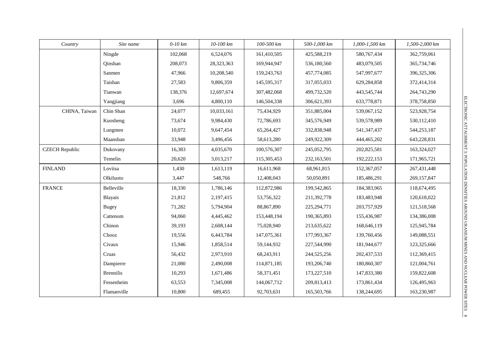| Country               | Site name        | $0-10$ km | 10-100 km  | 100-500 km  | 500-1,000 km  | 1,000-1,500 km | 1,500-2,000 km |
|-----------------------|------------------|-----------|------------|-------------|---------------|----------------|----------------|
|                       | Ningde           | 102,068   | 6,524,076  | 161,410,505 | 425,588,219   | 580, 767, 434  | 362,759,061    |
|                       | Qinshan          | 208,073   | 28,323,363 | 169,944,947 | 536,180,560   | 483,079,505    | 365,734,746    |
|                       | Sanmen           | 47,966    | 10,208,540 | 159,243,763 | 457,774,085   | 547,997,677    | 396,325,306    |
|                       | Taishan          | 27,583    | 9,806,359  | 145,595,317 | 317,055,033   | 629,284,858    | 372,414,314    |
|                       | Tianwan          | 138,376   | 12,697,674 | 307,482,068 | 499,732,520   | 443,545,744    | 264,743,290    |
|                       | Yangjiang        | 3,696     | 4,800,110  | 146,504,338 | 306,621,393   | 633,778,871    | 378,758,850    |
| CHINA, Taiwan         | Chin Shan        | 24,077    | 10,033,161 | 75,434,929  | 351,885,004   | 539,067,152    | 523,928,754    |
|                       | Kuosheng         | 73,674    | 9,984,430  | 72,786,693  | 345,576,949   | 539,578,989    | 530,112,410    |
|                       | Lungmen          | 10,072    | 9,647,454  | 65,264,427  | 332,838,948   | 541, 347, 437  | 544,253,187    |
|                       | Maanshan         | 33,948    | 3,496,456  | 58,613,280  | 249,922,309   | 444, 465, 202  | 643,228,831    |
| <b>CZECH</b> Republic | Dukovany         | 16,383    | 4,035,670  | 100,576,307 | 245,052,795   | 202,825,581    | 163,324,027    |
|                       | Temelin          | 20,620    | 3,013,217  | 115,305,453 | 232,163,501   | 192,222,153    | 171,965,721    |
| <b>FINLAND</b>        | Loviisa          | 1,430     | 1,613,119  | 16,611,968  | 68,961,815    | 152,367,057    | 267,431,448    |
|                       | Olkiluoto        | 3,447     | 548,766    | 12,408,043  | 50,050,891    | 185,486,291    | 269, 157, 847  |
| <b>FRANCE</b>         | Belleville       | 18,330    | 1,786,146  | 112,872,986 | 199,542,865   | 184,383,965    | 118,674,495    |
|                       | Blayais          | 21,812    | 2,197,415  | 53,756,322  | 211,392,778   | 183,483,948    | 120,618,022    |
|                       | <b>Bugey</b>     | 71,282    | 5,794,904  | 88,867,890  | 225, 294, 771 | 203,757,929    | 121,518,568    |
|                       | Cattenom         | 94,060    | 4,445,462  | 153,448,194 | 190, 365, 893 | 155,436,987    | 134,386,008    |
|                       | Chinon           | 39,193    | 2,608,144  | 75,028,940  | 213,635,622   | 168,646,119    | 125,945,784    |
|                       | Chooz            | 19,556    | 6,443,784  | 147,075,361 | 177,993,367   | 139,760,456    | 149,088,551    |
|                       | Civaux           | 15,946    | 1,858,514  | 59,144,932  | 227,544,990   | 181,944,677    | 123,325,666    |
|                       | Cruas            | 56,432    | 2,973,910  | 68,243,911  | 244,525,256   | 202,437,533    | 112,369,415    |
|                       | Dampierre        | 21,080    | 2,490,008  | 114,871,185 | 193,206,740   | 180,860,307    | 121,004,761    |
|                       | <b>Brennilis</b> | 10,293    | 1,671,486  | 58,371,451  | 173,227,510   | 147,833,380    | 159,822,608    |
|                       | Fessenheim       | 63,553    | 7,345,008  | 144,067,712 | 209,813,413   | 173,861,434    | 126,495,963    |
|                       | Flamanville      | 10,800    | 689,455    | 92,703,631  | 165,503,766   | 138,244,695    | 163,230,987    |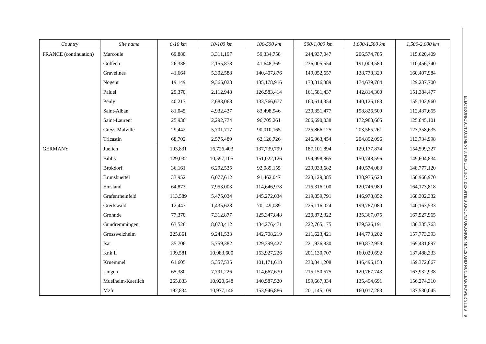| Country               | Site name         | $0-10$ km | 10-100 km  | 100-500 km  | 500-1,000 km  | 1,000-1,500 km | 1,500-2,000 km |
|-----------------------|-------------------|-----------|------------|-------------|---------------|----------------|----------------|
| FRANCE (continuation) | Marcoule          | 69,880    | 3,311,197  | 59,334,758  | 244,937,047   | 206, 574, 785  | 115,620,409    |
|                       | Golfech           | 26,338    | 2,155,878  | 41,648,369  | 236,005,554   | 191,009,580    | 110,456,340    |
|                       | Gravelines        | 41,664    | 5,302,588  | 140,407,876 | 149,052,657   | 138,778,329    | 160,407,984    |
|                       | Nogent            | 19,149    | 9,365,023  | 135,178,916 | 173,316,889   | 174,639,704    | 129,237,700    |
|                       | Paluel            | 29,370    | 2,112,948  | 126,583,414 | 161,581,437   | 142,814,300    | 151,384,477    |
|                       | Penly             | 40,217    | 2,683,068  | 133,766,677 | 160,614,354   | 140,126,183    | 155,102,960    |
|                       | Saint-Alban       | 81,045    | 4,932,437  | 83,498,946  | 230, 351, 477 | 198,826,509    | 112,437,655    |
|                       | Saint-Laurent     | 25,936    | 2,292,774  | 96,705,261  | 206,690,038   | 172,983,605    | 125,645,101    |
|                       | Creys-Malville    | 29,442    | 5,701,717  | 90,010,165  | 225,866,125   | 203,565,261    | 123,358,635    |
|                       | Tricastin         | 68,702    | 2,575,489  | 62,126,726  | 246,963,454   | 204,892,096    | 113,734,998    |
| <b>GERMANY</b>        | Juelich           | 103,831   | 16,726,403 | 137,739,799 | 187, 101, 894 | 129, 177, 874  | 154,599,327    |
|                       | <b>Biblis</b>     | 129,032   | 10,597,105 | 151,022,126 | 199,998,865   | 150,748,596    | 149,604,834    |
|                       | <b>Brokdorf</b>   | 36,161    | 6,292,535  | 92,089,155  | 229,033,682   | 140,574,083    | 148,777,120    |
|                       | Brunsbuettel      | 33,952    | 6,077,612  | 91,462,047  | 228,129,085   | 138,976,620    | 150,966,970    |
|                       | Emsland           | 64,873    | 7,953,003  | 114,646,978 | 215,316,100   | 120,746,989    | 164,173,818    |
|                       | Grafenrheinfeld   | 113,589   | 5,475,034  | 145,272,034 | 219,859,791   | 146,978,852    | 168,302,332    |
|                       | Greifswald        | 12,443    | 1,435,628  | 70,149,089  | 225,116,024   | 199,787,080    | 140,163,533    |
|                       | Grohnde           | 77,370    | 7,312,877  | 125,347,848 | 220,872,322   | 135, 367, 075  | 167,527,965    |
|                       | Gundremmingen     | 63,528    | 8,078,412  | 134,276,471 | 222,765,175   | 179,526,191    | 136, 335, 763  |
|                       | Grosswelzheim     | 225,861   | 9,241,533  | 142,708,219 | 211,623,421   | 144,773,202    | 157,773,393    |
|                       | Isar              | 35,706    | 5,759,382  | 129,399,427 | 221,936,830   | 180,872,958    | 169,431,897    |
|                       | Knk Ii            | 199,581   | 10,983,600 | 153,927,226 | 201,130,707   | 160,020,692    | 137,488,333    |
|                       | Kruemmel          | 61,605    | 5,357,535  | 101,171,618 | 230, 841, 208 | 146,496,153    | 159,372,667    |
|                       | Lingen            | 65,380    | 7,791,226  | 114,667,630 | 215,150,575   | 120,767,743    | 163,932,938    |
|                       | Muelheim-Kaerlich | 265,833   | 10,920,648 | 140,587,520 | 199,667,334   | 135,494,691    | 156,274,310    |
|                       | Mzfr              | 192,834   | 10,977,146 | 153,946,886 | 201,145,109   | 160,017,283    | 137,530,045    |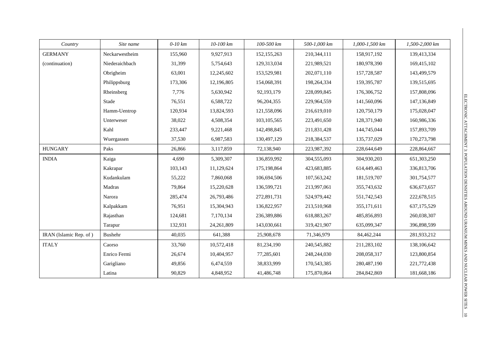| Country                | Site name      | $0-10$ km | 10-100 km  | 100-500 km    | 500-1,000 km | 1,000-1,500 km | 1,500-2,000 km |
|------------------------|----------------|-----------|------------|---------------|--------------|----------------|----------------|
| <b>GERMANY</b>         | Neckarwestheim | 155,960   | 9,927,913  | 152, 155, 263 | 210,344,111  | 158,917,192    | 139,413,334    |
| (continuation)         | Niederaichbach | 31,399    | 5,754,643  | 129,313,034   | 221,989,521  | 180,978,390    | 169,415,102    |
|                        | Obrigheim      | 63,001    | 12,245,602 | 153,529,981   | 202,071,110  | 157,728,587    | 143,499,579    |
|                        | Philippsburg   | 173,306   | 12,196,805 | 154,068,391   | 198,264,334  | 159, 395, 787  | 139,515,695    |
|                        | Rheinsberg     | 7,776     | 5,630,942  | 92,193,179    | 228,099,845  | 176,306,752    | 157,808,096    |
|                        | Stade          | 76,551    | 6,588,722  | 96,204,355    | 229,964,559  | 141,560,096    | 147,136,849    |
|                        | Hamm-Uentrop   | 120,934   | 13,824,593 | 121,558,096   | 216,619,010  | 120,750,179    | 175,028,047    |
|                        | Unterweser     | 38,022    | 4,508,354  | 103, 105, 565 | 223,491,650  | 128,371,940    | 160,986,336    |
|                        | Kahl           | 233,447   | 9,221,468  | 142,498,845   | 211,831,428  | 144,745,044    | 157,893,709    |
|                        | Wuergassen     | 37,530    | 6,987,583  | 130,497,129   | 218,384,537  | 135,737,029    | 170,273,798    |
| <b>HUNGARY</b>         | Paks           | 26,866    | 3,117,859  | 72,138,940    | 223,987,392  | 228,644,649    | 228,864,667    |
| <b>INDIA</b>           | Kaiga          | 4,690     | 5,309,307  | 136,859,992   | 304,555,093  | 304,930,203    | 651,303,250    |
|                        | Kakrapar       | 103,143   | 11,129,624 | 175,198,864   | 423,683,885  | 614,449,463    | 336,813,706    |
|                        | Kudankulam     | 55,222    | 7,860,068  | 106,694,506   | 107,563,242  | 181,519,707    | 301,754,577    |
|                        | Madras         | 79,864    | 15,220,628 | 136,599,721   | 213,997,061  | 355,743,632    | 636, 673, 657  |
|                        | Narora         | 285,474   | 26,793,486 | 272,891,731   | 524,979,442  | 551,742,543    | 222,678,515    |
|                        | Kalpakkam      | 76,951    | 15,304,943 | 136,822,957   | 213,510,968  | 355,171,611    | 637,175,529    |
|                        | Rajasthan      | 124,681   | 7,170,134  | 236,389,886   | 618,883,267  | 485,856,893    | 260,038,307    |
|                        | Tarapur        | 132,931   | 24,261,809 | 143,030,661   | 319,421,907  | 635,099,347    | 396,898,599    |
| IRAN (Islamic Rep. of) | Bushehr        | 40,035    | 641,388    | 25,908,678    | 71,346,979   | 84,462,244     | 281,933,212    |
| <b>ITALY</b>           | Caorso         | 33,760    | 10,572,418 | 81,234,190    | 240,545,882  | 211,283,102    | 138,106,642    |
|                        | Enrico Fermi   | 26,674    | 10,404,957 | 77,285,601    | 248,244,030  | 208,058,317    | 123,800,854    |
|                        | Garigliano     | 49,856    | 6,474,559  | 38,833,999    | 170,543,385  | 280,487,190    | 221,772,438    |
|                        | Latina         | 90,829    | 4,848,952  | 41,486,748    | 175,870,864  | 284,842,869    | 181,668,186    |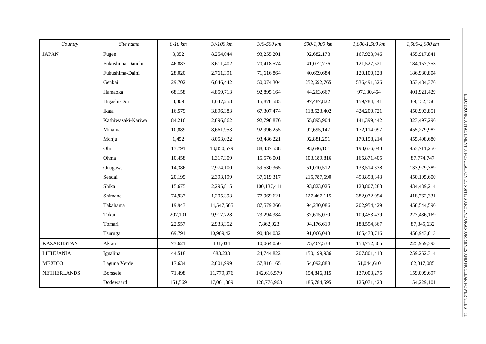| Country            | Site name          | $0-10$ km | 10-100 km  | 100-500 km  | 500-1,000 km | $1,000 - 1,500$ km | 1,500-2,000 km |
|--------------------|--------------------|-----------|------------|-------------|--------------|--------------------|----------------|
| <b>JAPAN</b>       | Fugen              | 3,052     | 8,254,044  | 93,255,201  | 92,682,173   | 167,923,946        | 455,917,841    |
|                    | Fukushima-Daiichi  | 46,887    | 3,611,402  | 70,418,574  | 41,072,776   | 121,527,521        | 184, 157, 753  |
|                    | Fukushima-Daini    | 28,020    | 2,761,391  | 71,616,864  | 40,659,684   | 120,100,128        | 186,980,804    |
|                    | Genkai             | 29,702    | 6,646,442  | 50,074,304  | 252,692,765  | 536,491,526        | 353,484,376    |
|                    | Hamaoka            | 68,158    | 4,859,713  | 92,895,164  | 44,263,667   | 97,130,464         | 401,921,429    |
|                    | Higashi-Dori       | 3,309     | 1,647,258  | 15,878,583  | 97,487,822   | 159,784,441        | 89,152,156     |
|                    | Ikata              | 16,579    | 3,896,383  | 67,307,474  | 118,523,402  | 424,200,721        | 450,993,851    |
|                    | Kashiwazaki-Kariwa | 84,216    | 2,896,862  | 92,798,876  | 55,895,904   | 141,399,442        | 323,497,296    |
|                    | Mihama             | 10,889    | 8,661,953  | 92,996,255  | 92,695,147   | 172,114,097        | 455,279,982    |
|                    | Monju              | 1,452     | 8,053,022  | 93,486,221  | 92,881,291   | 170,158,214        | 455,498,680    |
|                    | Ohi                | 13,791    | 13,850,579 | 88,437,538  | 93,646,161   | 193,676,048        | 453,711,250    |
|                    | Ohma               | 10,458    | 1,317,309  | 15,576,001  | 103,189,816  | 165,871,405        | 87,774,747     |
|                    | Onagawa            | 14,386    | 2,974,100  | 59,530,365  | 51,010,512   | 133,514,338        | 133,929,389    |
|                    | Sendai             | 20,195    | 2,393,199  | 37,619,317  | 215,787,690  | 493,898,343        | 450,195,600    |
|                    | Shika              | 15,675    | 2,295,815  | 100,137,411 | 93,823,025   | 128,807,283        | 434,439,214    |
|                    | Shimane            | 74,937    | 1,205,393  | 77,969,621  | 127,467,115  | 382,072,094        | 418,762,331    |
|                    | Takahama           | 19,943    | 14,547,565 | 87,579,266  | 94,230,086   | 202,954,429        | 458,544,590    |
|                    | Tokai              | 207,101   | 9,917,728  | 73,294,384  | 37,615,070   | 109,453,439        | 227,486,169    |
|                    | Tomari             | 22,557    | 2,933,352  | 7,862,023   | 94,176,619   | 188,594,867        | 87, 345, 632   |
|                    | Tsuruga            | 69,791    | 10,909,421 | 90,484,032  | 91,066,043   | 165,478,716        | 456,943,813    |
| <b>KAZAKHSTAN</b>  | Aktau              | 73,621    | 131,034    | 10,064,050  | 75,467,538   | 154,752,365        | 225,959,393    |
| <b>LITHUANIA</b>   | Ignalina           | 44,518    | 683,233    | 24,744,822  | 150,199,936  | 207,801,413        | 259, 252, 314  |
| <b>MEXICO</b>      | Laguna Verde       | 17,634    | 2,801,999  | 57,816,165  | 54,092,888   | 51,044,610         | 62,317,085     |
| <b>NETHERLANDS</b> | <b>Borssele</b>    | 71,498    | 11,779,876 | 142,616,579 | 154,846,315  | 137,003,275        | 159,099,697    |
|                    | Dodewaard          | 151,569   | 17,061,809 | 128,776,963 | 185,784,595  | 125,071,428        | 154,229,101    |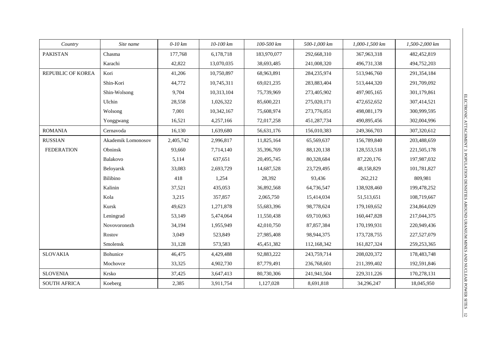| Country                  | Site name          | $0-10$ km | 10-100 km  | 100-500 km   | 500-1,000 km  | 1,000-1,500 km | 1,500-2,000 km |
|--------------------------|--------------------|-----------|------------|--------------|---------------|----------------|----------------|
| <b>PAKISTAN</b>          | Chasma             | 177,768   | 6,178,718  | 183,970,077  | 292,668,310   | 367,963,318    | 482,452,819    |
|                          | Karachi            | 42,822    | 13,070,035 | 38,693,485   | 241,008,320   | 496,731,338    | 494,752,203    |
| <b>REPUBLIC OF KOREA</b> | Kori               | 41,206    | 10,750,897 | 68,963,891   | 284, 235, 974 | 513,946,760    | 291,354,184    |
|                          | Shin-Kori          | 44,772    | 10,745,311 | 69,021,235   | 283,883,404   | 513,444,320    | 291,709,092    |
|                          | Shin-Wolsong       | 9,704     | 10,313,104 | 75,739,969   | 273,405,902   | 497,905,165    | 301,179,861    |
|                          | Ulchin             | 28,558    | 1,026,322  | 85,600,221   | 275,020,171   | 472,652,652    | 307,414,521    |
|                          | Wolsong            | 7,001     | 10,342,167 | 75,608,974   | 273,776,051   | 498,081,179    | 300,999,595    |
|                          | Yonggwang          | 16,521    | 4,257,166  | 72,017,258   | 451,287,734   | 490,895,456    | 302,004,996    |
| <b>ROMANIA</b>           | Cernavoda          | 16,130    | 1,639,680  | 56,631,176   | 156,010,383   | 249,366,703    | 307,320,612    |
| <b>RUSSIAN</b>           | Akademik Lomonosov | 2,405,742 | 2,996,817  | 11,825,164   | 65,569,637    | 156,789,840    | 203,488,659    |
| <b>FEDERATION</b>        | Obninsk            | 93,660    | 7,714,140  | 35,396,769   | 88,120,138    | 128,553,518    | 221,505,178    |
|                          | Balakovo           | 5,114     | 637,651    | 20,495,745   | 80,328,684    | 87,220,176     | 197,987,032    |
|                          | Beloyarsk          | 33,083    | 2,693,729  | 14,687,528   | 23,729,495    | 48,158,829     | 101,781,827    |
|                          | Bilibino           | 418       | 1,254      | 28,392       | 93,436        | 262,212        | 809,981        |
|                          | Kalinin            | 37,521    | 435,053    | 36,892,568   | 64,736,547    | 138,928,460    | 199,478,252    |
|                          | Kola               | 3,215     | 357,857    | 2,065,750    | 15,414,034    | 51,513,651     | 108,719,667    |
|                          | Kursk              | 49,623    | 1,271,878  | 55,683,396   | 98,778,624    | 179,169,652    | 234,864,029    |
|                          | Leningrad          | 53,149    | 5,474,064  | 11,550,438   | 69,710,063    | 160,447,828    | 217,044,375    |
|                          | Novovoronezh       | 34,194    | 1,955,949  | 42,010,750   | 87,857,384    | 170,199,931    | 220,949,436    |
|                          | Rostov             | 3,049     | 523,849    | 27,985,408   | 98,944,375    | 173,728,755    | 227,527,079    |
|                          | Smolensk           | 31,128    | 573,583    | 45, 451, 382 | 112,168,342   | 161,827,324    | 259, 253, 365  |
| <b>SLOVAKIA</b>          | Bohunice           | 46,475    | 4,429,488  | 92,883,222   | 243,759,714   | 208,020,372    | 178,483,748    |
|                          | Mochovce           | 33,325    | 4,902,730  | 87,779,491   | 236,768,601   | 211,399,402    | 192,591,846    |
| <b>SLOVENIA</b>          | Krsko              | 37,425    | 3,647,413  | 80,730,306   | 241,941,504   | 229,311,226    | 170,278,131    |
| <b>SOUTH AFRICA</b>      | Koeberg            | 2,385     | 3,911,754  | 1,127,028    | 8,691,818     | 34,296,247     | 18,045,950     |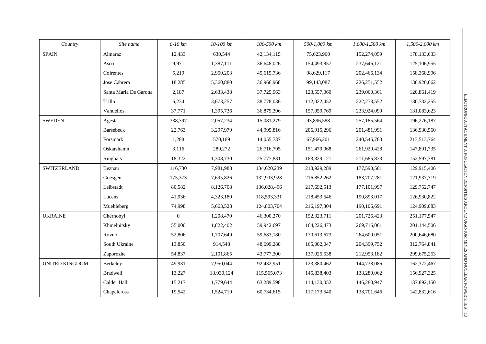| Country               | Site name             | $0-10$ km      | 10-100 km  | 100-500 km  | 500-1,000 km | 1,000-1,500 km | 1,500-2,000 km |
|-----------------------|-----------------------|----------------|------------|-------------|--------------|----------------|----------------|
| <b>SPAIN</b>          | Almaraz               | 12,433         | 630,544    | 42,134,115  | 75,623,960   | 152,274,059    | 178, 133, 633  |
|                       | Asco                  | 9,971          | 1,387,111  | 36,648,026  | 154,493,857  | 237,646,121    | 125,106,955    |
|                       | Cofrentes             | 5,219          | 2,950,203  | 45,615,736  | 98,629,117   | 202,466,134    | 158,368,996    |
|                       | Jose Cabrera          | 18,285         | 5,360,880  | 36,966,968  | 99,143,087   | 226, 251, 552  | 130,920,662    |
|                       | Santa Maria De Garona | 2,187          | 2,633,438  | 37,725,963  | 123,557,060  | 239,060,361    | 120,861,419    |
|                       | Trillo                | 6,234          | 3,673,257  | 38,778,036  | 112,022,452  | 222,273,552    | 130,732,255    |
|                       | Vandellos             | 37,771         | 1,395,736  | 36,879,396  | 157,059,769  | 233,924,099    | 131,083,623    |
| <b>SWEDEN</b>         | Agesta                | 338,397        | 2,057,234  | 15,081,279  | 93,896,588   | 257,185,564    | 196,276,187    |
|                       | Barsebeck             | 22,763         | 3,297,979  | 44,995,816  | 206,915,296  | 201,481,991    | 136,930,560    |
|                       | Forsmark              | 1,288          | 570,169    | 14,055,737  | 67,966,201   | 240,545,780    | 213,513,764    |
|                       | Oskarshamn            | 3,116          | 289,272    | 26,716,795  | 151,479,068  | 261,929,428    | 147,891,735    |
|                       | Ringhals              | 18,322         | 1,308,730  | 25,777,831  | 183,329,121  | 211,685,833    | 152,597,381    |
| <b>SWITZERLAND</b>    | Beznau                | 116,730        | 7,981,988  | 134,620,239 | 218,929,289  | 177,590,501    | 129,915,406    |
|                       | Goesgen               | 175,373        | 7,695,826  | 132,903,928 | 216,852,262  | 183,707,281    | 121,937,319    |
|                       | Leibstadt             | 80,582         | 8,126,708  | 136,028,496 | 217,692,513  | 177, 101, 997  | 129,752,747    |
|                       | Lucens                | 41,936         | 4,323,180  | 118,593,331 | 218,453,546  | 190,893,017    | 126,930,822    |
|                       | Muehleberg            | 74,998         | 5,663,528  | 124,803,704 | 216,197,304  | 190,106,691    | 124,909,083    |
| <b>UKRAINE</b>        | Chernobyl             | $\overline{0}$ | 1,208,470  | 46,300,270  | 152,323,711  | 201,726,423    | 251,177,547    |
|                       | Khmelnitsky           | 55,000         | 1,822,402  | 59,942,697  | 164,226,473  | 269,716,061    | 201,144,506    |
|                       | Rovno                 | 52,806         | 1,707,649  | 59,683,180  | 170,613,673  | 264,600,051    | 200,646,680    |
|                       | South Ukraine         | 13,850         | 914,548    | 48,699,288  | 165,002,047  | 204,399,752    | 312,764,841    |
|                       | Zaporozhe             | 54,837         | 2,101,865  | 43,777,300  | 137,025,538  | 212,953,182    | 299,675,253    |
| <b>UNITED KINGDOM</b> | Berkeley              | 49,931         | 7,950,044  | 92,432,951  | 123,380,462  | 144,738,086    | 162,372,467    |
|                       | Bradwell              | 13,227         | 13,930,124 | 115,565,073 | 145,838,403  | 138,280,062    | 156,927,325    |
|                       | Calder Hall           | 15,217         | 1,779,644  | 63,289,598  | 114,130,052  | 146,280,947    | 137,892,150    |
|                       | Chapelcross           | 19,542         | 1,524,719  | 60,734,615  | 117,173,540  | 138,701,646    | 142,832,616    |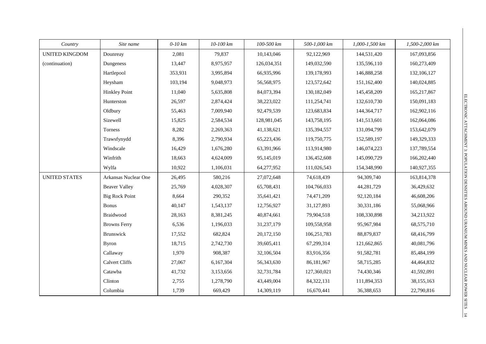| Country               | Site name             | $0-10$ km | 10-100 km | 100-500 km  | 500-1,000 km | 1,000-1,500 km | 1,500-2,000 km |
|-----------------------|-----------------------|-----------|-----------|-------------|--------------|----------------|----------------|
| <b>UNITED KINGDOM</b> | Dounreay              | 2,081     | 79,837    | 10,143,046  | 92,122,969   | 144,531,420    | 167,093,856    |
| (continuation)        | Dungeness             | 13,447    | 8,975,957 | 126,034,351 | 149,032,590  | 135,596,110    | 160,273,409    |
|                       | Hartlepool            | 353,931   | 3,995,894 | 66,935,996  | 139,178,993  | 146,888,258    | 132,106,127    |
|                       | Heysham               | 103,194   | 9,048,973 | 56,568,975  | 123,572,642  | 151,162,400    | 140,024,885    |
|                       | <b>Hinkley Point</b>  | 11,040    | 5,635,808 | 84,073,394  | 130,182,049  | 145,458,209    | 165,217,867    |
|                       | Hunterston            | 26,597    | 2,874,424 | 38,223,022  | 111,254,741  | 132,610,730    | 150,091,183    |
|                       | Oldbury               | 55,463    | 7,009,940 | 92,479,539  | 123,683,834  | 144,364,717    | 162,902,116    |
|                       | Sizewell              | 15,825    | 2,584,534 | 128,981,045 | 143,758,195  | 141,513,601    | 162,064,086    |
|                       | Torness               | 8,282     | 2,269,363 | 41,138,621  | 135,394,557  | 131,094,799    | 153,642,079    |
|                       | Trawsfynydd           | 8,396     | 2,790,934 | 65,223,436  | 119,750,775  | 152,589,197    | 149,329,333    |
|                       | Windscale             | 16,429    | 1,676,280 | 63,391,966  | 113,914,980  | 146,074,223    | 137,789,554    |
|                       | Winfrith              | 18,663    | 4,624,009 | 95,145,019  | 136,452,608  | 145,090,729    | 166,202,440    |
|                       | Wylfa                 | 10,922    | 1,106,031 | 64,277,952  | 111,026,543  | 154,348,990    | 140,927,355    |
| <b>UNITED STATES</b>  | Arkansas Nuclear One  | 26,495    | 580,216   | 27,072,648  | 74,618,439   | 94,309,740     | 163,814,378    |
|                       | <b>Beaver Valley</b>  | 25,769    | 4,028,307 | 65,708,431  | 104,766,033  | 44,281,729     | 36,429,632     |
|                       | <b>Big Rock Point</b> | 8,664     | 290,352   | 35,641,421  | 74,471,209   | 92,120,184     | 46,608,206     |
|                       | <b>Bonus</b>          | 40,147    | 1,543,137 | 12,756,927  | 31,127,893   | 30,331,186     | 55,068,966     |
|                       | Braidwood             | 28,163    | 8,381,245 | 40,874,661  | 79,904,518   | 108,330,898    | 34,213,922     |
|                       | <b>Browns Ferry</b>   | 6,536     | 1,196,033 | 31,237,179  | 109,558,958  | 95,967,984     | 68,575,710     |
|                       | Brunswick             | 17,552    | 682,824   | 20,172,150  | 106,251,783  | 88,879,837     | 68,416,799     |
|                       | <b>Byron</b>          | 18,715    | 2,742,730 | 39,605,411  | 67,299,314   | 121,662,865    | 40,081,796     |
|                       | Callaway              | 1,970     | 908,387   | 32,106,504  | 83,916,356   | 91,582,781     | 85,484,199     |
|                       | <b>Calvert Cliffs</b> | 27,067    | 6,167,304 | 56,343,630  | 86,181,967   | 58,715,285     | 44,464,832     |
|                       | Catawba               | 41,732    | 3,153,656 | 32,731,784  | 127,360,021  | 74,430,346     | 41,592,091     |
|                       | Clinton               | 2,755     | 1,278,790 | 43,449,004  | 84,322,131   | 111,894,353    | 38,155,163     |
|                       | Columbia              | 1,739     | 669,429   | 14,309,119  | 16,670,441   | 36,388,653     | 22,790,816     |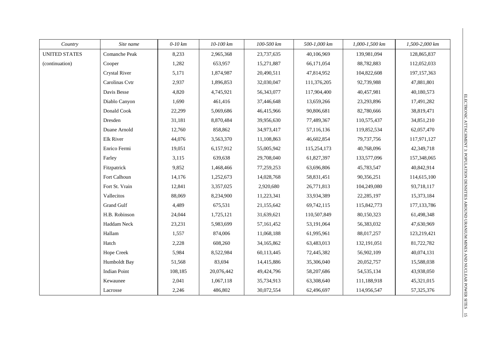| Country              | Site name            | $0-10$ km | 10-100 km  | 100-500 km | 500-1,000 km | 1,000-1,500 km | 1,500-2,000 km |
|----------------------|----------------------|-----------|------------|------------|--------------|----------------|----------------|
| <b>UNITED STATES</b> | Comanche Peak        | 8,233     | 2,965,368  | 23,737,635 | 40,106,969   | 139,981,094    | 128,865,837    |
| (continuation)       | Cooper               | 1,282     | 653,957    | 15,271,887 | 66,171,054   | 88,782,883     | 112,052,033    |
|                      | <b>Crystal River</b> | 5,171     | 1,874,987  | 20,490,511 | 47,814,952   | 104,822,608    | 197, 157, 363  |
|                      | Carolinas Cvtr       | 2,937     | 1,896,853  | 32,030,047 | 111,376,205  | 92,739,988     | 47,881,801     |
|                      | Davis Besse          | 4,820     | 4,745,921  | 56,343,077 | 117,904,400  | 40,457,981     | 40,180,573     |
|                      | Diablo Canyon        | 1,690     | 461,416    | 37,446,648 | 13,659,266   | 23,293,896     | 17,491,282     |
|                      | Donald Cook          | 22,299    | 5,069,686  | 46,415,966 | 90,806,681   | 82,780,666     | 38,819,471     |
|                      | Dresden              | 31,181    | 8,870,484  | 39,956,630 | 77,489,367   | 110,575,437    | 34,851,210     |
|                      | Duane Arnold         | 12,760    | 858,862    | 34,973,417 | 57,116,136   | 119,852,534    | 62,057,470     |
|                      | Elk River            | 44,076    | 3,563,370  | 11,108,863 | 46,602,854   | 79,737,756     | 117,971,127    |
|                      | Enrico Fermi         | 19,051    | 6,157,912  | 55,005,942 | 115,254,173  | 40,768,096     | 42,349,718     |
|                      | Farley               | 3,115     | 639,638    | 29,708,040 | 61,827,397   | 133,577,096    | 157,348,065    |
|                      | Fitzpatrick          | 9,852     | 1,468,466  | 77,259,253 | 63,696,806   | 45,783,547     | 40,842,914     |
|                      | Fort Calhoun         | 14,176    | 1,252,673  | 14,028,768 | 58,831,451   | 90,356,251     | 114,615,100    |
|                      | Fort St. Vrain       | 12,841    | 3,357,025  | 2,920,680  | 26,771,813   | 104,249,080    | 93,718,117     |
|                      | Vallecitos           | 88,069    | 8,234,900  | 11,223,341 | 33,934,389   | 22,285,197     | 15,373,184     |
|                      | <b>Grand Gulf</b>    | 4,489     | 675,531    | 21,155,642 | 69,742,115   | 115,842,773    | 177, 133, 786  |
|                      | H.B. Robinson        | 24,044    | 1,725,121  | 31,639,621 | 110,507,849  | 80,150,323     | 61,498,348     |
|                      | Haddam Neck          | 23,231    | 5,983,699  | 57,161,452 | 53,191,064   | 56,383,032     | 47,630,969     |
|                      | Hallam               | 1,557     | 874,006    | 11,068,188 | 61,995,961   | 88,017,257     | 123,219,421    |
|                      | Hatch                | 2,228     | 608,260    | 34,165,862 | 63,483,013   | 132,191,051    | 81,722,782     |
|                      | Hope Creek           | 5,984     | 8,522,984  | 60,113,445 | 72,445,382   | 56,902,109     | 40,074,131     |
|                      | Humboldt Bay         | 51,568    | 83,694     | 14,415,886 | 35,306,040   | 20,052,757     | 15,588,038     |
|                      | <b>Indian Point</b>  | 108,185   | 20,076,442 | 49,424,796 | 58,207,686   | 54, 535, 134   | 43,938,050     |
|                      | Kewaunee             | 2,041     | 1,067,118  | 35,734,913 | 63,308,640   | 111,188,918    | 45,321,015     |
|                      | Lacrosse             | 2,246     | 486,802    | 30,072,554 | 62,496,697   | 114,956,547    | 57,325,376     |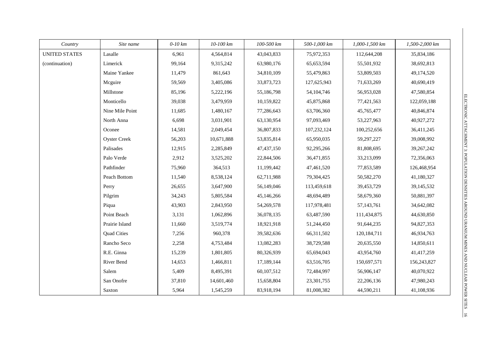| Country              | Site name           | $0-10$ km | 10-100 km  | 100-500 km   | 500-1,000 km | 1,000-1,500 km | 1,500-2,000 km |
|----------------------|---------------------|-----------|------------|--------------|--------------|----------------|----------------|
| <b>UNITED STATES</b> | Lasalle             | 6,961     | 4,564,814  | 43,043,833   | 75,972,353   | 112,644,208    | 35,834,186     |
| (continuation)       | Limerick            | 99,164    | 9,315,242  | 63,980,176   | 65, 653, 594 | 55,501,932     | 38,692,813     |
|                      | Maine Yankee        | 11,479    | 861,643    | 34,810,109   | 55,479,863   | 53,809,503     | 49,174,520     |
|                      | Mcguire             | 59,569    | 3,405,086  | 33,873,723   | 127,625,943  | 71,633,269     | 40,690,419     |
|                      | Millstone           | 85,196    | 5,222,196  | 55,186,798   | 54, 104, 746 | 56,953,028     | 47,580,854     |
|                      | Monticello          | 39,038    | 3,479,959  | 10,159,822   | 45,875,868   | 77,421,563     | 122,059,188    |
|                      | Nine Mile Point     | 11,685    | 1,480,167  | 77,286,643   | 63,706,360   | 45,765,477     | 40,846,874     |
|                      | North Anna          | 6,698     | 3,031,901  | 63,130,954   | 97,093,469   | 53,227,963     | 40,927,272     |
|                      | Oconee              | 14,581    | 2,049,454  | 36,807,833   | 107,232,124  | 100,252,656    | 36,411,245     |
|                      | <b>Oyster Creek</b> | 56,203    | 10,671,888 | 53,835,814   | 65,950,035   | 59,297,227     | 39,008,992     |
|                      | Palisades           | 12,915    | 2,285,849  | 47, 437, 150 | 92,295,266   | 81,808,695     | 39, 267, 242   |
|                      | Palo Verde          | 2,912     | 3,525,202  | 22,844,506   | 36,471,855   | 33,213,099     | 72,356,063     |
|                      | Pathfinder          | 75,960    | 364,513    | 11,199,442   | 47,461,520   | 77,853,589     | 126,468,954    |
|                      | Peach Bottom        | 11,540    | 8,538,124  | 62,711,988   | 79,304,425   | 50,582,270     | 41,180,327     |
|                      | Perry               | 26,655    | 3,647,900  | 56,149,046   | 113,459,618  | 39,453,729     | 39,145,532     |
|                      | Pilgrim             | 34,243    | 5,805,584  | 45,146,266   | 48,694,489   | 58,679,360     | 50,881,397     |
|                      | Piqua               | 43,903    | 2,843,950  | 54,269,578   | 117,978,481  | 57,143,761     | 34,642,082     |
|                      | Point Beach         | 3,131     | 1,062,896  | 36,078,135   | 63,487,590   | 111,434,875    | 44,630,850     |
|                      | Prairie Island      | 11,660    | 3,519,774  | 18,921,918   | 51,244,450   | 91,644,235     | 94,827,353     |
|                      | <b>Quad Cities</b>  | 7,256     | 960,378    | 39,582,636   | 66,311,502   | 120, 184, 711  | 46,934,763     |
|                      | Rancho Seco         | 2,258     | 4,753,484  | 13,082,283   | 38,729,588   | 20,635,550     | 14,850,611     |
|                      | R.E. Ginna          | 15,239    | 1,801,805  | 80,326,939   | 65,694,043   | 43,954,760     | 41,417,259     |
|                      | River Bend          | 14,653    | 1,466,811  | 17,189,144   | 63,516,705   | 150,697,571    | 156,243,827    |
|                      | Salem               | 5,409     | 8,495,391  | 60,107,512   | 72,484,997   | 56,906,147     | 40,070,922     |
|                      | San Onofre          | 37,810    | 14,601,460 | 15,658,804   | 23,301,755   | 22,206,136     | 47,980,243     |
|                      | Saxton              | 5,964     | 1,545,259  | 83,918,194   | 81,008,382   | 44,590,211     | 41,108,936     |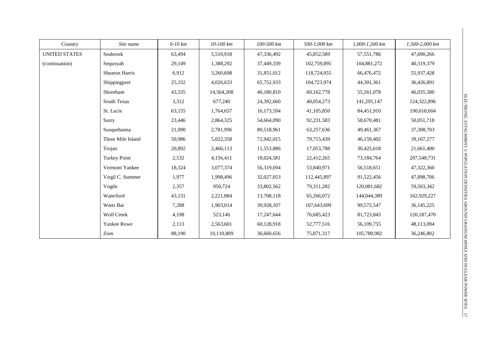| Country              | Site name           | $0-10$ km | $10-100$ km | 100-500 km | 500-1,000 km | $1,000 - 1,500$ km | 1,500-2,000 km |
|----------------------|---------------------|-----------|-------------|------------|--------------|--------------------|----------------|
| <b>UNITED STATES</b> | Seabrook            | 63,494    | 5,510,918   | 47,336,492 | 45,852,589   | 57,551,786         | 47,690,266     |
| (continuation)       | Sequoyah            | 29,149    | 1,388,292   | 37,449,339 | 102,759,895  | 104,881,272        | 40,319,379     |
|                      | Shearon Harris      | 6,912     | 3,260,698   | 31,851,012 | 118,724,055  | 66,476,472         | 55,937,428     |
|                      | Shippingport        | 25,332    | 4,026,633   | 65,752,933 | 104,723,974  | 44,301,361         | 36,426,891     |
|                      | Shoreham            | 43,335    | 14,564,208  | 46,180,810 | 60,162,778   | 55,561,078         | 46,035,580     |
|                      | South Texas         | 3,312     | 677,240     | 24,392,660 | 40,054,273   | 141,295,147        | 124,322,896    |
|                      | St. Lucie           | 63,155    | 1,764,657   | 16,173,594 | 41,105,850   | 84,451,910         | 190,618,604    |
|                      | Surry               | 23,446    | 2,864,325   | 54,664,090 | 92,231,583   | 58,670,481         | 50,051,718     |
|                      | Susquehanna         | 21,090    | 2,781,996   | 80,518,961 | 63,257,636   | 49,461,367         | 37,308,703     |
|                      | Three Mile Island   | 50,986    | 5,022,358   | 72,942,015 | 79,715,439   | 46,159,402         | 39,167,277     |
|                      | Trojan              | 20,892    | 2,466,113   | 11,553,886 | 17,053,788   | 30,425,618         | 21,661,400     |
|                      | <b>Turkey Point</b> | 2,532     | 4,156,411   | 18,024,581 | 22,412,265   | 73,184,764         | 207,548,731    |
|                      | Vermont Yankee      | 18,324    | 3,077,374   | 56,319,694 | 53,840,971   | 56,518,651         | 47,322,360     |
|                      | Virgil C. Summer    | 1,977     | 1,998,496   | 32,027,053 | 112,445,897  | 91,522,456         | 47,898,706     |
|                      | Vogtle              | 2,357     | 950,724     | 33,802,562 | 79,311,282   | 120,081,682        | 59,503,342     |
|                      | Waterford           | 43,131    | 2,221,884   | 13,708,118 | 65,266,072   | 144,044,389        | 162,929,227    |
|                      | Watts Bar           | 7,288     | 1,903,014   | 39,928,107 | 107,643,699  | 99,572,547         | 36, 145, 225   |
|                      | <b>Wolf Creek</b>   | 4,198     | 523,146     | 17,247,644 | 76,685,423   | 81,723,843         | 120, 187, 470  |
|                      | Yankee Rowe         | 2,113     | 2,563,601   | 60,128,918 | 52,777,516   | 56,109,755         | 48,113,094     |
|                      | Zion                | 88,190    | 10,110,809  | 36,660,656 | 75,871,317   | 105,788,982        | 36,246,802     |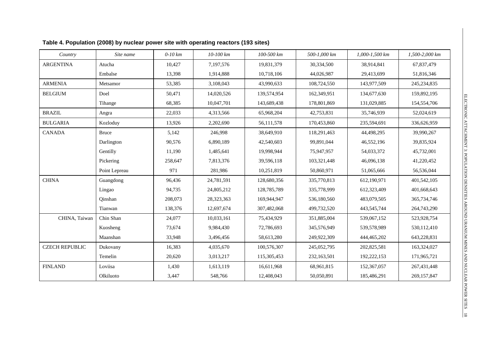| Country               | Site name     | $0-10$ km | 10-100 km  | 100-500 km  | 500-1,000 km | 1,000-1,500 km | 1,500-2,000 km |
|-----------------------|---------------|-----------|------------|-------------|--------------|----------------|----------------|
| <b>ARGENTINA</b>      | Atucha        | 10,427    | 7,197,576  | 19,831,379  | 30,334,500   | 38,914,841     | 67,837,479     |
|                       | Embalse       | 13,398    | 1,914,888  | 10,718,106  | 44,026,987   | 29,413,699     | 51,816,346     |
| <b>ARMENIA</b>        | Metsamor      | 53,385    | 3,108,043  | 43,990,633  | 108,724,550  | 143,977,509    | 245, 234, 835  |
| <b>BELGIUM</b>        | Doel          | 50,471    | 14,020,526 | 139,574,954 | 162,349,951  | 134,677,630    | 159,892,195    |
|                       | Tihange       | 68,385    | 10,047,701 | 143,689,438 | 178,801,869  | 131,029,885    | 154,554,706    |
| <b>BRAZIL</b>         | Angra         | 22,033    | 4,313,566  | 65,968,204  | 42,753,831   | 35,746,939     | 52,024,619     |
| <b>BULGARIA</b>       | Kozloduy      | 13,926    | 2,202,690  | 56,111,578  | 170,453,860  | 235,594,691    | 336,626,959    |
| <b>CANADA</b>         | <b>Bruce</b>  | 5,142     | 246,998    | 38,649,910  | 118,291,463  | 44,498,295     | 39,990,267     |
|                       | Darlington    | 90,576    | 6,890,189  | 42,540,603  | 99,891,044   | 46,552,196     | 39,835,924     |
|                       | Gentilly      | 11,190    | 1,485,641  | 19,998,944  | 75,947,957   | 54,033,372     | 45,732,001     |
|                       | Pickering     | 258,647   | 7,813,376  | 39,596,118  | 103,321,448  | 46,096,138     | 41,220,452     |
|                       | Point Lepreau | 971       | 281,986    | 10,251,819  | 50,860,971   | 51,065,666     | 56,536,044     |
| <b>CHINA</b>          | Guangdong     | 96,436    | 24,781,591 | 128,680,356 | 335,770,813  | 612,190,971    | 401,542,105    |
|                       | Lingao        | 94,735    | 24,805,212 | 128,785,789 | 335,778,999  | 612,323,409    | 401,668,643    |
|                       | Qinshan       | 208,073   | 28,323,363 | 169,944,947 | 536,180,560  | 483,079,505    | 365,734,746    |
|                       | Tianwan       | 138,376   | 12,697,674 | 307,482,068 | 499,732,520  | 443,545,744    | 264,743,290    |
| CHINA, Taiwan         | Chin Shan     | 24,077    | 10,033,161 | 75,434,929  | 351,885,004  | 539,067,152    | 523,928,754    |
|                       | Kuosheng      | 73,674    | 9,984,430  | 72,786,693  | 345,576,949  | 539,578,989    | 530,112,410    |
|                       | Maanshan      | 33,948    | 3,496,456  | 58,613,280  | 249,922,309  | 444,465,202    | 643,228,831    |
| <b>CZECH REPUBLIC</b> | Dukovany      | 16,383    | 4,035,670  | 100,576,307 | 245,052,795  | 202,825,581    | 163,324,027    |
|                       | Temelin       | 20,620    | 3,013,217  | 115,305,453 | 232,163,501  | 192,222,153    | 171,965,721    |
| <b>FINLAND</b>        | Loviisa       | 1,430     | 1,613,119  | 16,611,968  | 68,961,815   | 152,367,057    | 267,431,448    |
|                       | Olkiluoto     | 3,447     | 548,766    | 12,408,043  | 50,050,891   | 185,486,291    | 269,157,847    |

**Table 4. Population (2008) by nuclear power site with operating reactors (193 sites)**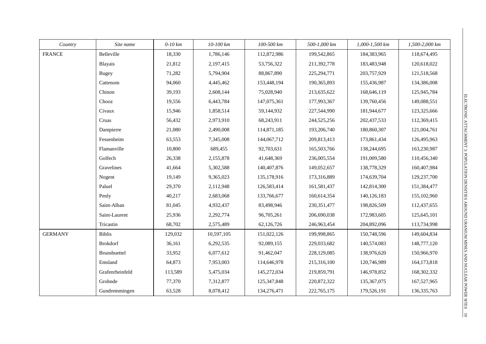| Country        | Site name       | $0-10$ km | 10-100 km  | 100-500 km  | 500-1,000 km  | 1,000-1,500 km | 1,500-2,000 km |
|----------------|-----------------|-----------|------------|-------------|---------------|----------------|----------------|
| <b>FRANCE</b>  | Belleville      | 18,330    | 1,786,146  | 112,872,986 | 199,542,865   | 184,383,965    | 118,674,495    |
|                | Blayais         | 21,812    | 2,197,415  | 53,756,322  | 211,392,778   | 183,483,948    | 120,618,022    |
|                | <b>Bugey</b>    | 71,282    | 5,794,904  | 88,867,890  | 225, 294, 771 | 203,757,929    | 121,518,568    |
|                | Cattenom        | 94,060    | 4,445,462  | 153,448,194 | 190,365,893   | 155,436,987    | 134,386,008    |
|                | Chinon          | 39,193    | 2,608,144  | 75,028,940  | 213,635,622   | 168,646,119    | 125,945,784    |
|                | Chooz           | 19,556    | 6,443,784  | 147,075,361 | 177,993,367   | 139,760,456    | 149,088,551    |
|                | Civaux          | 15,946    | 1,858,514  | 59,144,932  | 227,544,990   | 181,944,677    | 123,325,666    |
|                | Cruas           | 56,432    | 2,973,910  | 68,243,911  | 244,525,256   | 202,437,533    | 112,369,415    |
|                | Dampierre       | 21,080    | 2,490,008  | 114,871,185 | 193,206,740   | 180,860,307    | 121,004,761    |
|                | Fessenheim      | 63,553    | 7,345,008  | 144,067,712 | 209,813,413   | 173,861,434    | 126,495,963    |
|                | Flamanville     | 10,800    | 689,455    | 92,703,631  | 165,503,766   | 138,244,695    | 163,230,987    |
|                | Golfech         | 26,338    | 2,155,878  | 41,648,369  | 236,005,554   | 191,009,580    | 110,456,340    |
|                | Gravelines      | 41,664    | 5,302,588  | 140,407,876 | 149,052,657   | 138,778,329    | 160,407,984    |
|                | Nogent          | 19,149    | 9,365,023  | 135,178,916 | 173,316,889   | 174,639,704    | 129,237,700    |
|                | Paluel          | 29,370    | 2,112,948  | 126,583,414 | 161,581,437   | 142,814,300    | 151,384,477    |
|                | Penly           | 40,217    | 2,683,068  | 133,766,677 | 160,614,354   | 140, 126, 183  | 155,102,960    |
|                | Saint-Alban     | 81,045    | 4,932,437  | 83,498,946  | 230, 351, 477 | 198,826,509    | 112,437,655    |
|                | Saint-Laurent   | 25,936    | 2,292,774  | 96,705,261  | 206,690,038   | 172,983,605    | 125,645,101    |
|                | Tricastin       | 68,702    | 2,575,489  | 62,126,726  | 246,963,454   | 204,892,096    | 113,734,998    |
| <b>GERMANY</b> | <b>Biblis</b>   | 129,032   | 10,597,105 | 151,022,126 | 199,998,865   | 150,748,596    | 149,604,834    |
|                | <b>Brokdorf</b> | 36,161    | 6,292,535  | 92,089,155  | 229,033,682   | 140,574,083    | 148,777,120    |
|                | Brunsbuettel    | 33,952    | 6,077,612  | 91,462,047  | 228,129,085   | 138,976,620    | 150,966,970    |
|                | Emsland         | 64,873    | 7,953,003  | 114,646,978 | 215,316,100   | 120,746,989    | 164,173,818    |
|                | Grafenrheinfeld | 113,589   | 5,475,034  | 145,272,034 | 219,859,791   | 146,978,852    | 168, 302, 332  |
|                | Grohnde         | 77,370    | 7,312,877  | 125,347,848 | 220,872,322   | 135, 367, 075  | 167,527,965    |
|                | Gundremmingen   | 63,528    | 8,078,412  | 134,276,471 | 222,765,175   | 179,526,191    | 136, 335, 763  |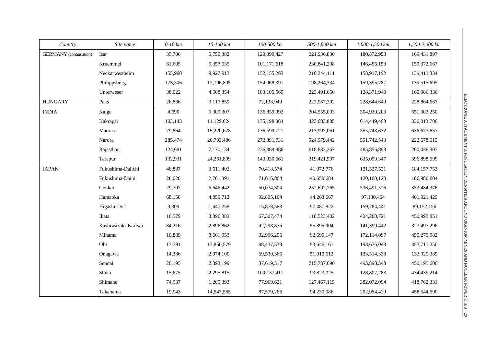| Country                       | Site name          | $0-10$ km | 10-100 km  | 100-500 km    | 500-1,000 km | 1,000-1,500 km | 1,500-2,000 km |
|-------------------------------|--------------------|-----------|------------|---------------|--------------|----------------|----------------|
| <b>GERMANY</b> (continuation) | Isar               | 35,706    | 5,759,382  | 129,399,427   | 221,936,830  | 180,872,958    | 169,431,897    |
|                               | Kruemmel           | 61,605    | 5,357,535  | 101,171,618   | 230,841,208  | 146,496,153    | 159,372,667    |
|                               | Neckarwestheim     | 155,960   | 9,927,913  | 152, 155, 263 | 210,344,111  | 158,917,192    | 139,413,334    |
|                               | Philippsburg       | 173,306   | 12,196,805 | 154,068,391   | 198,264,334  | 159,395,787    | 139,515,695    |
|                               | Unterweser         | 38,022    | 4,508,354  | 103, 105, 565 | 223,491,650  | 128,371,940    | 160,986,336    |
| <b>HUNGARY</b>                | Paks               | 26,866    | 3,117,859  | 72,138,940    | 223,987,392  | 228,644,649    | 228,864,667    |
| <b>INDIA</b>                  | Kaiga              | 4,690     | 5,309,307  | 136,859,992   | 304,555,093  | 304,930,203    | 651,303,250    |
|                               | Kakrapar           | 103,143   | 11,129,624 | 175,198,864   | 423,683,885  | 614,449,463    | 336,813,706    |
|                               | Madras             | 79,864    | 15,220,628 | 136,599,721   | 213,997,061  | 355,743,632    | 636, 673, 657  |
|                               | Narora             | 285,474   | 26,793,486 | 272,891,731   | 524,979,442  | 551,742,543    | 222,678,515    |
|                               | Rajasthan          | 124,681   | 7,170,134  | 236,389,886   | 618,883,267  | 485,856,893    | 260,038,307    |
|                               | Tarapur            | 132,931   | 24,261,809 | 143,030,661   | 319,421,907  | 635,099,347    | 396,898,599    |
| <b>JAPAN</b>                  | Fukushima-Daiichi  | 46,887    | 3,611,402  | 70,418,574    | 41,072,776   | 121,527,521    | 184, 157, 753  |
|                               | Fukushima-Daini    | 28,020    | 2,761,391  | 71,616,864    | 40,659,684   | 120,100,128    | 186,980,804    |
|                               | Genkai             | 29,702    | 6,646,442  | 50,074,304    | 252,692,765  | 536,491,526    | 353,484,376    |
|                               | Hamaoka            | 68,158    | 4,859,713  | 92,895,164    | 44,263,667   | 97,130,464     | 401,921,429    |
|                               | Higashi-Dori       | 3,309     | 1,647,258  | 15,878,583    | 97,487,822   | 159,784,441    | 89,152,156     |
|                               | Ikata              | 16,579    | 3,896,383  | 67,307,474    | 118,523,402  | 424,200,721    | 450,993,851    |
|                               | Kashiwazaki-Kariwa | 84,216    | 2,896,862  | 92,798,876    | 55,895,904   | 141,399,442    | 323,497,296    |
|                               | Mihama             | 10,889    | 8,661,953  | 92,996,255    | 92,695,147   | 172,114,097    | 455,279,982    |
|                               | Ohi                | 13,791    | 13,850,579 | 88,437,538    | 93,646,161   | 193,676,048    | 453,711,250    |
|                               | Onagawa            | 14,386    | 2,974,100  | 59,530,365    | 51,010,512   | 133,514,338    | 133,929,389    |
|                               | Sendai             | 20,195    | 2,393,199  | 37,619,317    | 215,787,690  | 493,898,343    | 450,195,600    |
|                               | Shika              | 15,675    | 2,295,815  | 100,137,411   | 93,823,025   | 128,807,283    | 434,439,214    |
|                               | Shimane            | 74,937    | 1,205,393  | 77,969,621    | 127,467,115  | 382,072,094    | 418,762,331    |
|                               | Takahama           | 19,943    | 14,547,565 | 87,579,266    | 94,230,086   | 202,954,429    | 458,544,590    |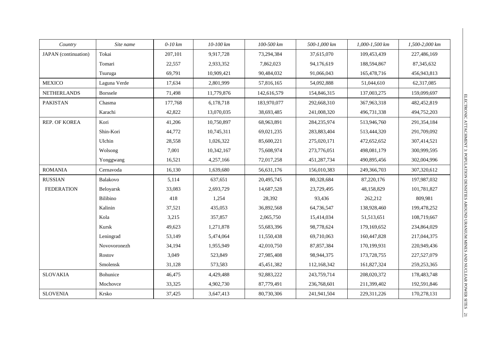| Country              | Site name       | $0-10$ km | 10-100 km  | 100-500 km  | 500-1,000 km | 1,000-1,500 km | 1,500-2,000 km |
|----------------------|-----------------|-----------|------------|-------------|--------------|----------------|----------------|
| JAPAN (continuation) | Tokai           | 207,101   | 9,917,728  | 73,294,384  | 37,615,070   | 109,453,439    | 227,486,169    |
|                      | Tomari          | 22,557    | 2,933,352  | 7,862,023   | 94,176,619   | 188,594,867    | 87, 345, 632   |
|                      | Tsuruga         | 69,791    | 10,909,421 | 90,484,032  | 91,066,043   | 165,478,716    | 456,943,813    |
| <b>MEXICO</b>        | Laguna Verde    | 17,634    | 2,801,999  | 57,816,165  | 54,092,888   | 51,044,610     | 62,317,085     |
| <b>NETHERLANDS</b>   | <b>Borssele</b> | 71,498    | 11,779,876 | 142,616,579 | 154,846,315  | 137,003,275    | 159,099,697    |
| <b>PAKISTAN</b>      | Chasma          | 177,768   | 6,178,718  | 183,970,077 | 292,668,310  | 367,963,318    | 482, 452, 819  |
|                      | Karachi         | 42,822    | 13,070,035 | 38,693,485  | 241,008,320  | 496,731,338    | 494,752,203    |
| REP. OF KOREA        | Kori            | 41,206    | 10,750,897 | 68,963,891  | 284,235,974  | 513,946,760    | 291,354,184    |
|                      | Shin-Kori       | 44,772    | 10,745,311 | 69,021,235  | 283,883,404  | 513,444,320    | 291,709,092    |
|                      | Ulchin          | 28,558    | 1,026,322  | 85,600,221  | 275,020,171  | 472,652,652    | 307,414,521    |
|                      | Wolsong         | 7,001     | 10,342,167 | 75,608,974  | 273,776,051  | 498,081,179    | 300,999,595    |
|                      | Yonggwang       | 16,521    | 4,257,166  | 72,017,258  | 451,287,734  | 490,895,456    | 302,004,996    |
| <b>ROMANIA</b>       | Cernavoda       | 16,130    | 1,639,680  | 56,631,176  | 156,010,383  | 249,366,703    | 307,320,612    |
| <b>RUSSIAN</b>       | Balakovo        | 5,114     | 637,651    | 20,495,745  | 80,328,684   | 87,220,176     | 197,987,032    |
| <b>FEDERATION</b>    | Beloyarsk       | 33,083    | 2,693,729  | 14,687,528  | 23,729,495   | 48,158,829     | 101,781,827    |
|                      | Bilibino        | 418       | 1,254      | 28,392      | 93,436       | 262,212        | 809,981        |
|                      | Kalinin         | 37,521    | 435,053    | 36,892,568  | 64,736,547   | 138,928,460    | 199,478,252    |
|                      | Kola            | 3,215     | 357,857    | 2,065,750   | 15,414,034   | 51,513,651     | 108,719,667    |
|                      | Kursk           | 49,623    | 1,271,878  | 55,683,396  | 98,778,624   | 179,169,652    | 234,864,029    |
|                      | Leningrad       | 53,149    | 5,474,064  | 11,550,438  | 69,710,063   | 160,447,828    | 217,044,375    |
|                      | Novovoronezh    | 34,194    | 1,955,949  | 42,010,750  | 87,857,384   | 170,199,931    | 220,949,436    |
|                      | Rostov          | 3,049     | 523,849    | 27,985,408  | 98,944,375   | 173,728,755    | 227,527,079    |
|                      | Smolensk        | 31,128    | 573,583    | 45,451,382  | 112,168,342  | 161,827,324    | 259, 253, 365  |
| <b>SLOVAKIA</b>      | Bohunice        | 46,475    | 4,429,488  | 92,883,222  | 243,759,714  | 208,020,372    | 178,483,748    |
|                      | Mochovce        | 33,325    | 4,902,730  | 87,779,491  | 236,768,601  | 211,399,402    | 192,591,846    |
| <b>SLOVENIA</b>      | Krsko           | 37,425    | 3,647,413  | 80,730,306  | 241,941,504  | 229,311,226    | 170,278,131    |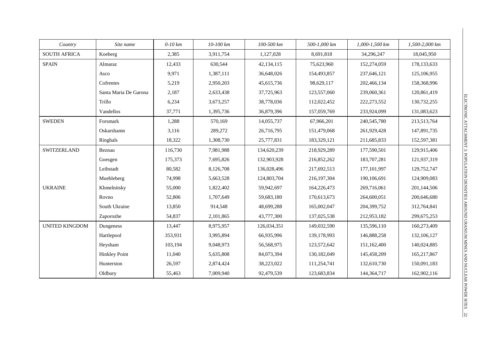| Country               | Site name             | $0-10$ km | 10-100 km | 100-500 km  | 500-1,000 km | 1,000-1,500 km | 1,500-2,000 km |
|-----------------------|-----------------------|-----------|-----------|-------------|--------------|----------------|----------------|
| <b>SOUTH AFRICA</b>   | Koeberg               | 2,385     | 3,911,754 | 1,127,028   | 8,691,818    | 34,296,247     | 18,045,950     |
| <b>SPAIN</b>          | Almaraz               | 12,433    | 630,544   | 42,134,115  | 75,623,960   | 152,274,059    | 178, 133, 633  |
|                       | Asco                  | 9,971     | 1,387,111 | 36,648,026  | 154,493,857  | 237,646,121    | 125,106,955    |
|                       | Cofrentes             | 5,219     | 2,950,203 | 45,615,736  | 98,629,117   | 202,466,134    | 158,368,996    |
|                       | Santa Maria De Garona | 2,187     | 2,633,438 | 37,725,963  | 123,557,060  | 239,060,361    | 120,861,419    |
|                       | Trillo                | 6,234     | 3,673,257 | 38,778,036  | 112,022,452  | 222,273,552    | 130,732,255    |
|                       | Vandellos             | 37,771    | 1,395,736 | 36,879,396  | 157,059,769  | 233,924,099    | 131,083,623    |
| <b>SWEDEN</b>         | Forsmark              | 1,288     | 570,169   | 14,055,737  | 67,966,201   | 240,545,780    | 213,513,764    |
|                       | Oskarshamn            | 3,116     | 289,272   | 26,716,795  | 151,479,068  | 261,929,428    | 147,891,735    |
|                       | Ringhals              | 18,322    | 1,308,730 | 25,777,831  | 183,329,121  | 211,685,833    | 152,597,381    |
| SWITZERLAND           | Beznau                | 116,730   | 7,981,988 | 134,620,239 | 218,929,289  | 177,590,501    | 129,915,406    |
|                       | Goesgen               | 175,373   | 7,695,826 | 132,903,928 | 216,852,262  | 183,707,281    | 121,937,319    |
|                       | Leibstadt             | 80,582    | 8,126,708 | 136,028,496 | 217,692,513  | 177, 101, 997  | 129,752,747    |
|                       | Muehleberg            | 74,998    | 5,663,528 | 124,803,704 | 216,197,304  | 190,106,691    | 124,909,083    |
| <b>UKRAINE</b>        | Khmelnitsky           | 55,000    | 1,822,402 | 59,942,697  | 164,226,473  | 269,716,061    | 201,144,506    |
|                       | Rovno                 | 52,806    | 1,707,649 | 59,683,180  | 170,613,673  | 264,600,051    | 200,646,680    |
|                       | South Ukraine         | 13,850    | 914,548   | 48,699,288  | 165,002,047  | 204,399,752    | 312,764,841    |
|                       | Zaporozhe             | 54,837    | 2,101,865 | 43,777,300  | 137,025,538  | 212,953,182    | 299,675,253    |
| <b>UNITED KINGDOM</b> | Dungeness             | 13,447    | 8,975,957 | 126,034,351 | 149,032,590  | 135,596,110    | 160,273,409    |
|                       | Hartlepool            | 353,931   | 3,995,894 | 66,935,996  | 139,178,993  | 146,888,258    | 132,106,127    |
|                       | Heysham               | 103,194   | 9,048,973 | 56,568,975  | 123,572,642  | 151,162,400    | 140,024,885    |
|                       | <b>Hinkley Point</b>  | 11,040    | 5,635,808 | 84,073,394  | 130,182,049  | 145,458,209    | 165,217,867    |
|                       | Hunterston            | 26,597    | 2,874,424 | 38,223,022  | 111,254,741  | 132,610,730    | 150,091,183    |
|                       | Oldbury               | 55,463    | 7,009,940 | 92,479,539  | 123,683,834  | 144, 364, 717  | 162,902,116    |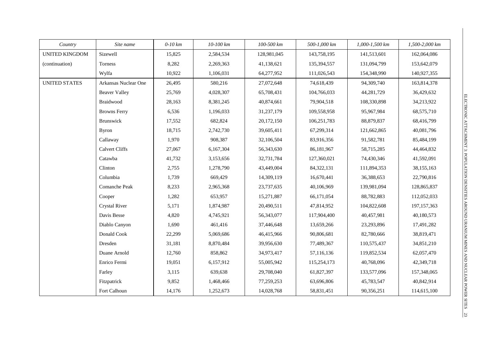| Country               | Site name             | $0-10$ km | 10-100 km | 100-500 km  | 500-1,000 km | 1,000-1,500 km | 1,500-2,000 km |
|-----------------------|-----------------------|-----------|-----------|-------------|--------------|----------------|----------------|
| <b>UNITED KINGDOM</b> | Sizewell              | 15,825    | 2,584,534 | 128,981,045 | 143,758,195  | 141,513,601    | 162,064,086    |
| (continuation)        | Torness               | 8,282     | 2,269,363 | 41,138,621  | 135,394,557  | 131,094,799    | 153,642,079    |
|                       | Wylfa                 | 10,922    | 1,106,031 | 64,277,952  | 111,026,543  | 154,348,990    | 140,927,355    |
| <b>UNITED STATES</b>  | Arkansas Nuclear One  | 26,495    | 580,216   | 27,072,648  | 74,618,439   | 94,309,740     | 163,814,378    |
|                       | <b>Beaver Valley</b>  | 25,769    | 4,028,307 | 65,708,431  | 104,766,033  | 44,281,729     | 36,429,632     |
|                       | Braidwood             | 28,163    | 8,381,245 | 40,874,661  | 79,904,518   | 108,330,898    | 34,213,922     |
|                       | <b>Browns Ferry</b>   | 6,536     | 1,196,033 | 31,237,179  | 109,558,958  | 95,967,984     | 68,575,710     |
|                       | Brunswick             | 17,552    | 682,824   | 20,172,150  | 106,251,783  | 88,879,837     | 68,416,799     |
|                       | <b>Byron</b>          | 18,715    | 2,742,730 | 39,605,411  | 67,299,314   | 121,662,865    | 40,081,796     |
|                       | Callaway              | 1,970     | 908,387   | 32,106,504  | 83,916,356   | 91,582,781     | 85,484,199     |
|                       | <b>Calvert Cliffs</b> | 27,067    | 6,167,304 | 56,343,630  | 86,181,967   | 58,715,285     | 44,464,832     |
|                       | Catawba               | 41,732    | 3,153,656 | 32,731,784  | 127,360,021  | 74,430,346     | 41,592,091     |
|                       | Clinton               | 2,755     | 1,278,790 | 43,449,004  | 84,322,131   | 111,894,353    | 38,155,163     |
|                       | Columbia              | 1,739     | 669,429   | 14,309,119  | 16,670,441   | 36,388,653     | 22,790,816     |
|                       | Comanche Peak         | 8,233     | 2,965,368 | 23,737,635  | 40,106,969   | 139,981,094    | 128,865,837    |
|                       | Cooper                | 1,282     | 653,957   | 15,271,887  | 66,171,054   | 88,782,883     | 112,052,033    |
|                       | <b>Crystal River</b>  | 5,171     | 1,874,987 | 20,490,511  | 47,814,952   | 104,822,608    | 197, 157, 363  |
|                       | Davis Besse           | 4,820     | 4,745,921 | 56,343,077  | 117,904,400  | 40,457,981     | 40,180,573     |
|                       | Diablo Canyon         | 1,690     | 461,416   | 37,446,648  | 13,659,266   | 23,293,896     | 17,491,282     |
|                       | Donald Cook           | 22,299    | 5,069,686 | 46,415,966  | 90,806,681   | 82,780,666     | 38,819,471     |
|                       | Dresden               | 31,181    | 8,870,484 | 39,956,630  | 77,489,367   | 110,575,437    | 34,851,210     |
|                       | Duane Arnold          | 12,760    | 858,862   | 34,973,417  | 57,116,136   | 119,852,534    | 62,057,470     |
|                       | Enrico Fermi          | 19,051    | 6,157,912 | 55,005,942  | 115,254,173  | 40,768,096     | 42,349,718     |
|                       | Farley                | 3,115     | 639,638   | 29,708,040  | 61,827,397   | 133,577,096    | 157,348,065    |
|                       | Fitzpatrick           | 9,852     | 1,468,466 | 77,259,253  | 63,696,806   | 45,783,547     | 40,842,914     |
|                       | Fort Calhoun          | 14,176    | 1,252,673 | 14,028,768  | 58,831,451   | 90,356,251     | 114,615,100    |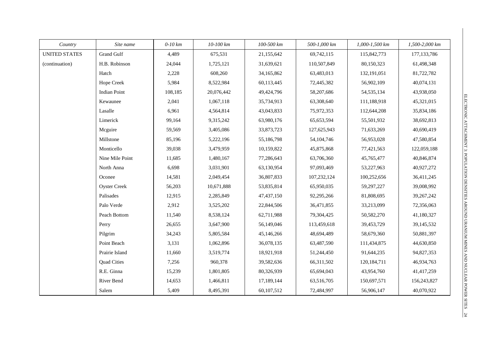| Country              | Site name           | $0-10$ km | 10-100 km  | 100-500 km   | 500-1,000 km | 1,000-1,500 km | 1,500-2,000 km |
|----------------------|---------------------|-----------|------------|--------------|--------------|----------------|----------------|
| <b>UNITED STATES</b> | <b>Grand Gulf</b>   | 4,489     | 675,531    | 21,155,642   | 69,742,115   | 115,842,773    | 177, 133, 786  |
| (continuation)       | H.B. Robinson       | 24,044    | 1,725,121  | 31,639,621   | 110,507,849  | 80,150,323     | 61,498,348     |
|                      | Hatch               | 2,228     | 608,260    | 34,165,862   | 63,483,013   | 132,191,051    | 81,722,782     |
|                      | Hope Creek          | 5,984     | 8,522,984  | 60,113,445   | 72,445,382   | 56,902,109     | 40,074,131     |
|                      | <b>Indian Point</b> | 108,185   | 20,076,442 | 49,424,796   | 58,207,686   | 54, 535, 134   | 43,938,050     |
|                      | Kewaunee            | 2,041     | 1,067,118  | 35,734,913   | 63,308,640   | 111,188,918    | 45,321,015     |
|                      | Lasalle             | 6,961     | 4,564,814  | 43,043,833   | 75,972,353   | 112,644,208    | 35,834,186     |
|                      | Limerick            | 99,164    | 9,315,242  | 63,980,176   | 65, 653, 594 | 55,501,932     | 38,692,813     |
|                      | Mcguire             | 59,569    | 3,405,086  | 33,873,723   | 127,625,943  | 71,633,269     | 40,690,419     |
|                      | Millstone           | 85,196    | 5,222,196  | 55,186,798   | 54, 104, 746 | 56,953,028     | 47,580,854     |
|                      | Monticello          | 39,038    | 3,479,959  | 10,159,822   | 45,875,868   | 77,421,563     | 122,059,188    |
|                      | Nine Mile Point     | 11,685    | 1,480,167  | 77,286,643   | 63,706,360   | 45,765,477     | 40,846,874     |
|                      | North Anna          | 6,698     | 3,031,901  | 63,130,954   | 97,093,469   | 53,227,963     | 40,927,272     |
|                      | Oconee              | 14,581    | 2,049,454  | 36,807,833   | 107,232,124  | 100,252,656    | 36,411,245     |
|                      | <b>Oyster Creek</b> | 56,203    | 10,671,888 | 53,835,814   | 65,950,035   | 59,297,227     | 39,008,992     |
|                      | Palisades           | 12,915    | 2,285,849  | 47, 437, 150 | 92,295,266   | 81,808,695     | 39,267,242     |
|                      | Palo Verde          | 2,912     | 3,525,202  | 22,844,506   | 36,471,855   | 33,213,099     | 72,356,063     |
|                      | Peach Bottom        | 11,540    | 8,538,124  | 62,711,988   | 79,304,425   | 50,582,270     | 41,180,327     |
|                      | Perry               | 26,655    | 3,647,900  | 56,149,046   | 113,459,618  | 39,453,729     | 39,145,532     |
|                      | Pilgrim             | 34,243    | 5,805,584  | 45,146,266   | 48,694,489   | 58,679,360     | 50,881,397     |
|                      | Point Beach         | 3,131     | 1,062,896  | 36,078,135   | 63,487,590   | 111,434,875    | 44,630,850     |
|                      | Prairie Island      | 11,660    | 3,519,774  | 18,921,918   | 51,244,450   | 91,644,235     | 94,827,353     |
|                      | <b>Quad Cities</b>  | 7,256     | 960,378    | 39,582,636   | 66,311,502   | 120, 184, 711  | 46,934,763     |
|                      | R.E. Ginna          | 15,239    | 1,801,805  | 80,326,939   | 65,694,043   | 43,954,760     | 41,417,259     |
|                      | River Bend          | 14,653    | 1,466,811  | 17,189,144   | 63,516,705   | 150,697,571    | 156,243,827    |
|                      | Salem               | 5,409     | 8,495,391  | 60,107,512   | 72,484,997   | 56,906,147     | 40,070,922     |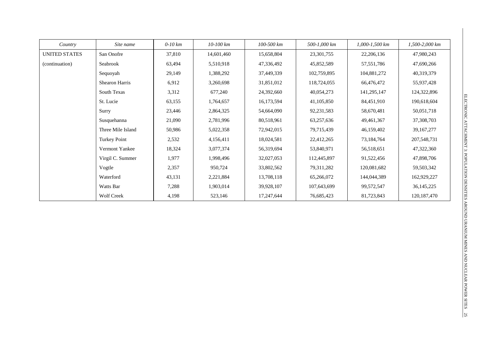| Country              | Site name           | $0-10$ km | $10-100$ km | 100-500 km | 500-1,000 km | $1,000 - 1,500$ km | 1,500-2,000 km |
|----------------------|---------------------|-----------|-------------|------------|--------------|--------------------|----------------|
| <b>UNITED STATES</b> | San Onofre          | 37,810    | 14,601,460  | 15,658,804 | 23,301,755   | 22,206,136         | 47,980,243     |
| (continuation)       | Seabrook            | 63,494    | 5,510,918   | 47,336,492 | 45,852,589   | 57, 551, 786       | 47,690,266     |
|                      | Sequoyah            | 29,149    | 1,388,292   | 37,449,339 | 102,759,895  | 104,881,272        | 40,319,379     |
|                      | Shearon Harris      | 6,912     | 3,260,698   | 31,851,012 | 118,724,055  | 66,476,472         | 55,937,428     |
|                      | South Texas         | 3,312     | 677,240     | 24,392,660 | 40,054,273   | 141,295,147        | 124,322,896    |
|                      | St. Lucie           | 63,155    | 1,764,657   | 16,173,594 | 41, 105, 850 | 84,451,910         | 190,618,604    |
|                      | Surry               | 23,446    | 2,864,325   | 54,664,090 | 92,231,583   | 58,670,481         | 50,051,718     |
|                      | Susquehanna         | 21,090    | 2,781,996   | 80,518,961 | 63,257,636   | 49,461,367         | 37,308,703     |
|                      | Three Mile Island   | 50,986    | 5,022,358   | 72,942,015 | 79,715,439   | 46,159,402         | 39,167,277     |
|                      | <b>Turkey Point</b> | 2,532     | 4,156,411   | 18,024,581 | 22,412,265   | 73,184,764         | 207,548,731    |
|                      | Vermont Yankee      | 18,324    | 3,077,374   | 56,319,694 | 53,840,971   | 56,518,651         | 47,322,360     |
|                      | Virgil C. Summer    | 1,977     | 1,998,496   | 32,027,053 | 112,445,897  | 91,522,456         | 47,898,706     |
|                      | Vogtle              | 2,357     | 950,724     | 33,802,562 | 79, 311, 282 | 120,081,682        | 59,503,342     |
|                      | Waterford           | 43,131    | 2,221,884   | 13,708,118 | 65,266,072   | 144,044,389        | 162,929,227    |
|                      | Watts Bar           | 7,288     | 1,903,014   | 39,928,107 | 107,643,699  | 99,572,547         | 36, 145, 225   |
|                      | <b>Wolf Creek</b>   | 4,198     | 523,146     | 17,247,644 | 76,685,423   | 81,723,843         | 120, 187, 470  |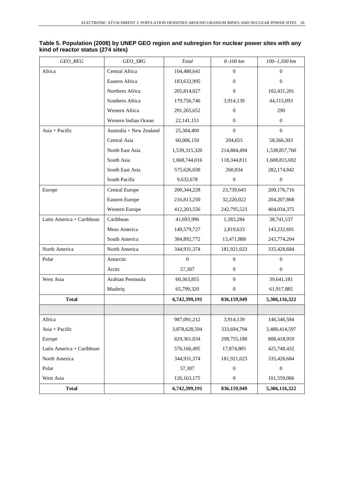| GEO_REG                   | $GEO\_SRG$              | Total         | $0 - 100$ km   | 100-1,500 km   |
|---------------------------|-------------------------|---------------|----------------|----------------|
| Africa                    | Central Africa          | 104,480,641   | $\overline{0}$ | $\overline{0}$ |
|                           | Eastern Africa          | 183,632,995   | $\Omega$       | $\theta$       |
|                           | Northern Africa         | 205,814,027   | $\mathbf{0}$   | 102,431,201    |
|                           | Southern Africa         | 179,756,746   | 3,914,139      | 44,115,093     |
|                           | Western Africa          | 291,265,652   | $\overline{0}$ | 290            |
|                           | Western Indian Ocean    | 22, 141, 151  | $\overline{0}$ | $\mathbf{0}$   |
| Asia + Pacific            | Australia + New Zealand | 25,304,400    | $\Omega$       | $\overline{0}$ |
|                           | Central Asia            | 60,006,150    | 204,655        | 58,566,303     |
|                           | North East Asia         | 1,539,315,320 | 214,884,494    | 1,538,857,760  |
|                           | South Asia              | 1,668,744,016 | 118,344,811    | 1,608,815,692  |
|                           | South East Asia         | 575,626,030   | 260,834        | 282, 174, 842  |
|                           | South Pacific           | 9,632,678     | $\mathbf{0}$   | $\mathbf{0}$   |
| Europe                    | <b>Central Europe</b>   | 200, 344, 228 | 23,739,643     | 200, 176, 716  |
|                           | Eastern Europe          | 216,813,250   | 32,220,022     | 204, 207, 868  |
|                           | Western Europe          | 412,203,556   | 242,795,523    | 404,034,375    |
| Latin America + Caribbean | Caribbean               | 41,693,996    | 1,583,284      | 38,741,537     |
|                           | Meso America            | 149,579,727   | 2,819,633      | 143,232,691    |
|                           | South America           | 384,892,772   | 13,471,888     | 243,774,204    |
| North America             | North America           | 344,931,374   | 181,921,023    | 335,428,684    |
| Polar                     | Antarctic               | $\mathbf{0}$  | $\overline{0}$ | $\mathbf{0}$   |
|                           | Arctic                  | 57,307        | $\overline{0}$ | $\mathbf{0}$   |
| West Asia                 | Arabian Peninsula       | 60,363,855    | $\overline{0}$ | 39,641,181     |
|                           | Mashriq                 | 65,799,320    | $\overline{0}$ | 61,917,885     |
| <b>Total</b>              |                         | 6,742,399,191 | 836,159,949    | 5,306,116,322  |
|                           |                         |               |                |                |
| Africa                    |                         | 987,091,212   | 3,914,139      | 146,546,584    |
| Asia + Pacific            |                         | 3,878,628,594 | 333,694,794    | 3,488,414,597  |
| Europe                    |                         | 829,361,034   | 298,755,188    | 808,418,959    |
| Latin America + Caribbean |                         | 576,166,495   | 17,874,805     | 425,748,432    |
| North America             |                         | 344,931,374   | 181,921,023    | 335,428,684    |
| Polar                     |                         | 57,307        | $\overline{0}$ | $\mathbf{0}$   |
| West Asia                 |                         | 126, 163, 175 | $\mathbf{0}$   | 101,559,066    |
| <b>Total</b>              |                         | 6,742,399,191 | 836,159,949    | 5,306,116,322  |

#### **Table 5. Population (2008) by UNEP GEO region and subregion for nuclear power sites with any kind of reactor status (274 sites)**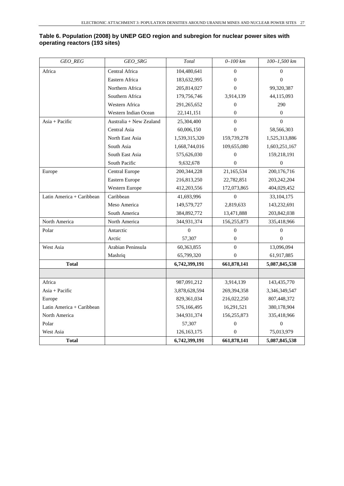#### **Table 6. Population (2008) by UNEP GEO region and subregion for nuclear power sites with operating reactors (193 sites)**

| GEO_REG                   | GEO_SRG                 | Total         | $0 - 100$ km     | 100-1,500 km     |
|---------------------------|-------------------------|---------------|------------------|------------------|
| Africa                    | Central Africa          | 104,480,641   | $\theta$         | $\Omega$         |
|                           | Eastern Africa          | 183,632,995   | $\overline{0}$   | $\mathbf{0}$     |
|                           | Northern Africa         | 205,814,027   | $\overline{0}$   | 99,320,387       |
|                           | Southern Africa         | 179,756,746   | 3,914,139        | 44,115,093       |
|                           | Western Africa          | 291,265,652   | $\overline{0}$   | 290              |
|                           | Western Indian Ocean    | 22, 141, 151  | $\mathbf{0}$     | $\theta$         |
| $Asia + Pacific$          | Australia + New Zealand | 25,304,400    | $\Omega$         | $\theta$         |
|                           | Central Asia            | 60,006,150    | $\mathbf{0}$     | 58,566,303       |
|                           | North East Asia         | 1,539,315,320 | 159,739,278      | 1,525,313,886    |
|                           | South Asia              | 1,668,744,016 | 109,655,080      | 1,603,251,167    |
|                           | South East Asia         | 575,626,030   | $\mathbf{0}$     | 159,218,191      |
|                           | South Pacific           | 9,632,678     | $\theta$         | $\mathbf{0}$     |
| Europe                    | Central Europe          | 200, 344, 228 | 21,165,534       | 200,176,716      |
|                           | Eastern Europe          | 216,813,250   | 22,782,851       | 203, 242, 204    |
|                           | Western Europe          | 412,203,556   | 172,073,865      | 404,029,452      |
| Latin America + Caribbean | Caribbean               | 41,693,996    | $\mathbf{0}$     | 33, 104, 175     |
|                           | Meso America            | 149,579,727   | 2,819,633        | 143,232,691      |
|                           | South America           | 384,892,772   | 13,471,888       | 203,842,038      |
| North America             | North America           | 344,931,374   | 156,255,873      | 335,418,966      |
| Polar                     | Antarctic               | $\Omega$      | $\theta$         | $\Omega$         |
|                           | Arctic                  | 57,307        | $\theta$         | $\theta$         |
| West Asia                 | Arabian Peninsula       | 60,363,855    | $\theta$         | 13,096,094       |
|                           | Mashriq                 | 65,799,320    | $\Omega$         | 61,917,885       |
| <b>Total</b>              |                         | 6,742,399,191 | 661,878,141      | 5,087,845,538    |
|                           |                         |               |                  |                  |
| Africa                    |                         | 987,091,212   | 3,914,139        | 143,435,770      |
| $Asia + Pacific$          |                         | 3,878,628,594 | 269, 394, 358    | 3,346,349,547    |
| Europe                    |                         | 829, 361, 034 | 216,022,250      | 807,448,372      |
| Latin America + Caribbean |                         | 576,166,495   | 16,291,521       | 380,178,904      |
| North America             |                         | 344,931,374   | 156,255,873      | 335,418,966      |
| Polar                     |                         | 57,307        | $\boldsymbol{0}$ | $\boldsymbol{0}$ |
| West Asia                 |                         | 126, 163, 175 | $\theta$         | 75,013,979       |
| <b>Total</b>              |                         | 6,742,399,191 | 661,878,141      | 5,087,845,538    |